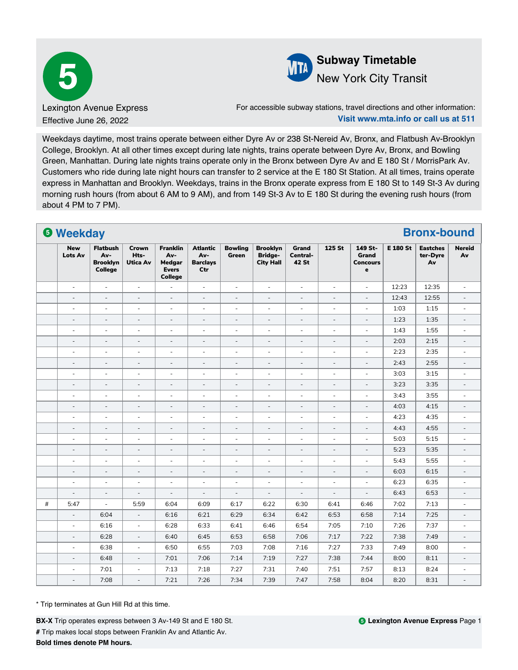



## New York City Transit

For accessible subway stations, travel directions and other information: **Visit www.mta.info or call us at 511**

Weekdays daytime, most trains operate between either Dyre Av or 238 St-Nereid Av, Bronx, and Flatbush Av-Brooklyn College, Brooklyn. At all other times except during late nights, trains operate between Dyre Av, Bronx, and Bowling Green, Manhattan. During late nights trains operate only in the Bronx between Dyre Av and E 180 St / MorrisPark Av. Customers who ride during late night hours can transfer to 2 service at the E 180 St Station. At all times, trains operate express in Manhattan and Brooklyn. Weekdays, trains in the Bronx operate express from E 180 St to 149 St-3 Av during morning rush hours (from about 6 AM to 9 AM), and from 149 St-3 Av to E 180 St during the evening rush hours (from about 4 PM to 7 PM).

|   | <b>6 Weekday</b>         |                                                             |                                  |                                                                    |                                                  |                                |                                                       |                              |                          |                                                           |                 | <b>Bronx-bound</b>                |                          |
|---|--------------------------|-------------------------------------------------------------|----------------------------------|--------------------------------------------------------------------|--------------------------------------------------|--------------------------------|-------------------------------------------------------|------------------------------|--------------------------|-----------------------------------------------------------|-----------------|-----------------------------------|--------------------------|
|   | <b>New</b><br>Lots Av    | <b>Flatbush</b><br>Av-<br><b>Brooklyn</b><br><b>College</b> | Crown<br>Hts-<br><b>Utica Av</b> | <b>Franklin</b><br>Av-<br>Medgar<br><b>Evers</b><br><b>College</b> | <b>Atlantic</b><br>Av-<br><b>Barclays</b><br>Ctr | <b>Bowling</b><br><b>Green</b> | <b>Brooklyn</b><br><b>Bridge-</b><br><b>City Hall</b> | Grand<br>Central-<br>42 St   | 125 St                   | 149 St-<br><b>Grand</b><br><b>Concours</b><br>$\mathbf e$ | <b>E 180 St</b> | <b>Eastches</b><br>ter-Dyre<br>Av | <b>Nereid</b><br>Av      |
|   | $\overline{\phantom{a}}$ | $\overline{\phantom{a}}$                                    | $\overline{\phantom{a}}$         | ÷,                                                                 | $\overline{\phantom{a}}$                         | $\overline{\phantom{a}}$       | $\overline{\phantom{a}}$                              | $\overline{\phantom{a}}$     | $\overline{\phantom{a}}$ | $\overline{\phantom{a}}$                                  | 12:23           | 12:35                             | $\bar{a}$                |
|   | $\overline{\phantom{a}}$ | $\bar{a}$                                                   | $\overline{\phantom{a}}$         | $\overline{\phantom{a}}$                                           | $\overline{\phantom{a}}$                         | $\overline{\phantom{a}}$       | $\overline{\phantom{a}}$                              | $\blacksquare$               | $\frac{1}{2}$            | $\overline{\phantom{a}}$                                  | 12:43           | 12:55                             | $\overline{\phantom{a}}$ |
|   | $\blacksquare$           | $\overline{\phantom{a}}$                                    | $\overline{\phantom{a}}$         | $\sim$                                                             | $\overline{\phantom{a}}$                         | $\overline{\phantom{a}}$       | $\bar{a}$                                             | $\overline{\phantom{a}}$     | ä,                       | $\overline{\phantom{a}}$                                  | 1:03            | 1:15                              | $\overline{\phantom{a}}$ |
|   | $\overline{\phantom{a}}$ | $\overline{\phantom{a}}$                                    | $\blacksquare$                   | $\overline{\phantom{a}}$                                           | $\overline{\phantom{a}}$                         | $\overline{\phantom{a}}$       | $\overline{\phantom{a}}$                              | $\overline{\phantom{a}}$     | $\overline{\phantom{a}}$ | $\overline{\phantom{a}}$                                  | 1:23            | 1:35                              | $\overline{\phantom{a}}$ |
|   | $\overline{\phantom{a}}$ | $\sim$                                                      | $\overline{\phantom{a}}$         | $\overline{a}$                                                     | ÷,                                               | $\sim$                         | $\bar{\phantom{a}}$                                   | $\overline{a}$               | $\sim$                   | L.                                                        | 1:43            | 1:55                              | $\sim$                   |
|   | $\overline{\phantom{a}}$ | $\overline{\phantom{a}}$                                    | $\overline{\phantom{a}}$         | $\overline{\phantom{a}}$                                           | $\overline{\phantom{a}}$                         | $\overline{\phantom{a}}$       | $\overline{\phantom{a}}$                              | $\overline{\phantom{a}}$     | $\overline{\phantom{a}}$ | $\overline{\phantom{a}}$                                  | 2:03            | 2:15                              | $\overline{\phantom{a}}$ |
|   | $\overline{\phantom{a}}$ | $\sim$                                                      | $\overline{\phantom{a}}$         | ÷,                                                                 | ÷,                                               | $\sim$                         | $\bar{a}$                                             | ÷,                           | ä,                       | ÷,                                                        | 2:23            | 2:35                              | $\sim$                   |
|   | $\overline{\phantom{a}}$ | $\overline{\phantom{a}}$                                    | $\overline{\phantom{a}}$         | $\overline{\phantom{a}}$                                           | $\qquad \qquad \blacksquare$                     | $\overline{\phantom{a}}$       | $\overline{\phantom{a}}$                              | $\overline{\phantom{a}}$     | $\overline{\phantom{a}}$ | $\overline{\phantom{m}}$                                  | 2:43            | 2:55                              | $\overline{\phantom{a}}$ |
|   | $\overline{\phantom{a}}$ | $\overline{\phantom{a}}$                                    | $\overline{\phantom{a}}$         | $\overline{\phantom{a}}$                                           | $\overline{\phantom{a}}$                         | $\overline{\phantom{a}}$       | $\overline{\phantom{a}}$                              | $\overline{\phantom{a}}$     | $\overline{\phantom{a}}$ | ÷,                                                        | 3:03            | 3:15                              | $\overline{\phantom{a}}$ |
|   | $\overline{\phantom{a}}$ | $\overline{\phantom{a}}$                                    | $\overline{\phantom{a}}$         | $\overline{\phantom{a}}$                                           | $\overline{\phantom{a}}$                         | $\overline{\phantom{a}}$       | $\overline{\phantom{a}}$                              | $\overline{\phantom{a}}$     | $\overline{\phantom{a}}$ | $\blacksquare$                                            | 3:23            | 3:35                              | $\overline{\phantom{a}}$ |
|   | ä,                       | $\overline{\phantom{a}}$                                    | ٠                                | $\sim$                                                             | $\overline{\phantom{a}}$                         | $\overline{\phantom{a}}$       | $\overline{\phantom{a}}$                              | $\sim$                       | ٠                        | ä,                                                        | 3:43            | 3:55                              | $\overline{\phantom{a}}$ |
|   | $\overline{\phantom{a}}$ | $\overline{\phantom{a}}$                                    | $\overline{\phantom{a}}$         | $\overline{\phantom{a}}$                                           | $\qquad \qquad \blacksquare$                     | $\overline{\phantom{a}}$       | $\qquad \qquad \blacksquare$                          | $\qquad \qquad \blacksquare$ | $\overline{\phantom{a}}$ | $\overline{\phantom{m}}$                                  | 4:03            | 4:15                              | $\overline{\phantom{a}}$ |
|   | $\bar{a}$                | $\bar{a}$                                                   | $\overline{\phantom{a}}$         | $\overline{\phantom{a}}$                                           | ÷,                                               | $\sim$                         | $\bar{a}$                                             | $\sim$                       | $\sim$                   | $\overline{\phantom{a}}$                                  | 4:23            | 4:35                              | $\omega$                 |
|   | $\blacksquare$           | $\overline{\phantom{a}}$                                    | $\blacksquare$                   | $\overline{\phantom{a}}$                                           | $\overline{\phantom{a}}$                         | $\overline{\phantom{a}}$       | $\blacksquare$                                        | $\overline{\phantom{a}}$     | $\overline{\phantom{a}}$ | $\blacksquare$                                            | 4:43            | 4:55                              | $\overline{\phantom{a}}$ |
|   | ä,                       | ÷,                                                          | $\overline{\phantom{a}}$         | $\overline{\phantom{a}}$                                           | $\overline{\phantom{a}}$                         | $\sim$                         | $\overline{\phantom{a}}$                              | $\overline{\phantom{a}}$     | ÷                        | ÷,                                                        | 5:03            | 5:15                              | $\sim$                   |
|   | $\overline{\phantom{m}}$ | $\overline{\phantom{m}}$                                    | $\overline{\phantom{a}}$         | $\overline{\phantom{a}}$                                           | $\overline{\phantom{a}}$                         | $\overline{\phantom{a}}$       | $\overline{\phantom{a}}$                              | $\overline{\phantom{a}}$     | $\overline{\phantom{a}}$ | $\overline{\phantom{a}}$                                  | 5:23            | 5:35                              | $\overline{\phantom{a}}$ |
|   | ÷,                       | $\overline{\phantom{a}}$                                    | $\overline{\phantom{a}}$         | $\overline{\phantom{a}}$                                           | $\overline{\phantom{a}}$                         | $\overline{\phantom{a}}$       | $\overline{\phantom{a}}$                              | $\overline{\phantom{a}}$     | $\overline{\phantom{0}}$ | $\overline{\phantom{a}}$                                  | 5:43            | 5:55                              | $\overline{\phantom{a}}$ |
|   | $\overline{\phantom{a}}$ | $\overline{\phantom{a}}$                                    | $\overline{\phantom{a}}$         | $\overline{\phantom{a}}$                                           | $\overline{\phantom{a}}$                         | $\overline{\phantom{a}}$       | $\overline{\phantom{a}}$                              | $\overline{\phantom{a}}$     | $\overline{\phantom{a}}$ | $\blacksquare$                                            | 6:03            | 6:15                              | $\overline{\phantom{a}}$ |
|   | ÷                        | ÷,                                                          | $\sim$                           | $\sim$                                                             | ÷,                                               | $\overline{\phantom{a}}$       | $\overline{\phantom{a}}$                              | $\sim$                       | ä,                       | $\overline{\phantom{a}}$                                  | 6:23            | 6:35                              | $\overline{\phantom{a}}$ |
|   | $\frac{1}{2}$            | $\overline{\phantom{a}}$                                    | $\overline{\phantom{a}}$         | $\overline{\phantom{a}}$                                           | $\blacksquare$                                   | $\overline{\phantom{a}}$       | $\overline{\phantom{a}}$                              | $\overline{\phantom{a}}$     | $\overline{\phantom{a}}$ | $\blacksquare$                                            | 6:43            | 6:53                              | $\overline{\phantom{a}}$ |
| # | 5:47                     | $\overline{\phantom{a}}$                                    | 5:59                             | 6:04                                                               | 6:09                                             | 6:17                           | 6:22                                                  | 6:30                         | 6:41                     | 6:46                                                      | 7:02            | 7:13                              | $\overline{\phantom{a}}$ |
|   | $\overline{\phantom{a}}$ | 6:04                                                        | $\overline{\phantom{a}}$         | 6:16                                                               | 6:21                                             | 6:29                           | 6:34                                                  | 6:42                         | 6:53                     | 6:58                                                      | 7:14            | 7:25                              | $\overline{\phantom{a}}$ |
|   | ÷,                       | 6:16                                                        | ÷,                               | 6:28                                                               | 6:33                                             | 6:41                           | 6:46                                                  | 6:54                         | 7:05                     | 7:10                                                      | 7:26            | 7:37                              | $\sim$                   |
|   | $\overline{\phantom{m}}$ | 6:28                                                        | $\overline{\phantom{a}}$         | 6:40                                                               | 6:45                                             | 6:53                           | 6:58                                                  | 7:06                         | 7:17                     | 7:22                                                      | 7:38            | 7:49                              | $\overline{\phantom{a}}$ |
|   | $\bar{a}$                | 6:38                                                        | ä,                               | 6:50                                                               | 6:55                                             | 7:03                           | 7:08                                                  | 7:16                         | 7:27                     | 7:33                                                      | 7:49            | 8:00                              | $\sim$                   |
|   | $\overline{\phantom{a}}$ | 6:48                                                        | $\overline{\phantom{a}}$         | 7:01                                                               | 7:06                                             | 7:14                           | 7:19                                                  | 7:27                         | 7:38                     | 7:44                                                      | 8:00            | 8:11                              | $\overline{\phantom{a}}$ |
|   | ÷                        | 7:01                                                        | ÷,                               | 7:13                                                               | 7:18                                             | 7:27                           | 7:31                                                  | 7:40                         | 7:51                     | 7:57                                                      | 8:13            | 8:24                              | $\sim$                   |
|   | $\frac{1}{2}$            | 7:08                                                        | $\overline{\phantom{a}}$         | 7:21                                                               | 7:26                                             | 7:34                           | 7:39                                                  | 7:47                         | 7:58                     | 8:04                                                      | 8:20            | 8:31                              | $\overline{\phantom{a}}$ |

\* Trip terminates at Gun Hill Rd at this time.

**BX-X** Trip operates express between 3 Av-149 St and E 180 St. **#** Trip makes local stops between Franklin Av and Atlantic Av. **Bold times denote PM hours.**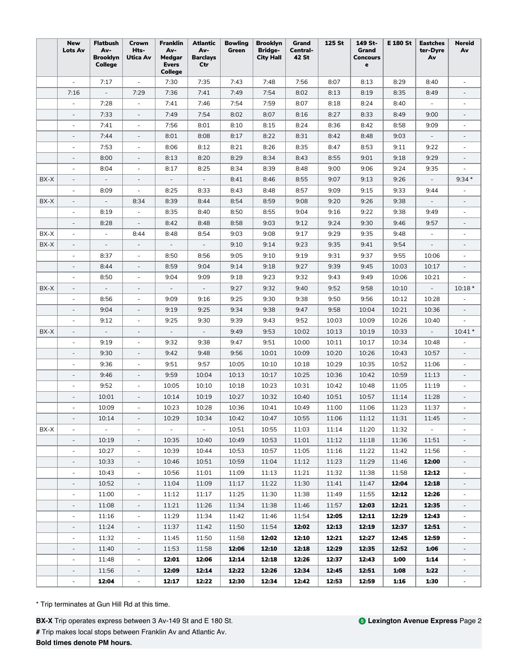|      | <b>New</b><br><b>Lots Av</b> | <b>Flatbush</b><br>Av-<br><b>Brooklyn</b><br>College | Crown<br>Hts-<br>Utica Av | Franklin<br>Av-<br>Medgar<br><b>Evers</b><br>College | Atlantic<br>Av-<br><b>Barclays</b><br>Ctr | <b>Bowling</b><br>Green | <b>Brooklyn</b><br><b>Bridge-</b><br><b>City Hall</b> | Grand<br>Central-<br>42 St | 125 St | 149 St-<br>Grand<br>Concours<br>$\mathbf{e}$ | E 180 St | <b>Eastches</b><br>ter-Dyre<br>Av | <b>Nereid</b><br>Av      |
|------|------------------------------|------------------------------------------------------|---------------------------|------------------------------------------------------|-------------------------------------------|-------------------------|-------------------------------------------------------|----------------------------|--------|----------------------------------------------|----------|-----------------------------------|--------------------------|
|      |                              | 7:17                                                 |                           | 7:30                                                 | 7:35                                      | 7:43                    | 7:48                                                  | 7:56                       | 8:07   | 8:13                                         | 8:29     | 8:40                              |                          |
|      | 7:16                         | $\overline{\phantom{a}}$                             | 7:29                      | 7:36                                                 | 7:41                                      | 7:49                    | 7:54                                                  | 8:02                       | 8:13   | 8:19                                         | 8:35     | 8:49                              |                          |
|      | $\overline{a}$               | 7:28                                                 | $\blacksquare$            | 7:41                                                 | 7:46                                      | 7:54                    | 7:59                                                  | 8:07                       | 8:18   | 8:24                                         | 8:40     | $\overline{\phantom{a}}$          |                          |
|      | $\overline{\phantom{a}}$     | 7:33                                                 | $\overline{\phantom{a}}$  | 7:49                                                 | 7:54                                      | 8:02                    | 8:07                                                  | 8:16                       | 8:27   | 8:33                                         | 8:49     | 9:00                              | $\overline{\phantom{a}}$ |
|      | $\overline{\phantom{a}}$     | 7:41                                                 | $\overline{\phantom{a}}$  | 7:56                                                 | 8:01                                      | 8:10                    | 8:15                                                  | 8:24                       | 8:36   | 8:42                                         | 8:58     | 9:09                              | $\overline{\phantom{a}}$ |
|      | $\overline{\phantom{a}}$     | 7:44                                                 | $\overline{\phantom{a}}$  | 8:01                                                 | 8:08                                      | 8:17                    | 8:22                                                  | 8:31                       | 8:42   | 8:48                                         | 9:03     | $\overline{\phantom{a}}$          |                          |
|      | $\overline{\phantom{a}}$     | 7:53                                                 | $\overline{\phantom{a}}$  | 8:06                                                 | 8:12                                      | 8:21                    | 8:26                                                  | 8:35                       | 8:47   | 8:53                                         | 9:11     | 9:22                              |                          |
|      | $\overline{\phantom{a}}$     | 8:00                                                 | $\overline{\phantom{a}}$  | 8:13                                                 | 8:20                                      | 8:29                    | 8:34                                                  | 8:43                       | 8:55   | 9:01                                         | 9:18     | 9:29                              |                          |
|      | ä,                           | 8:04                                                 | ä,                        | 8:17                                                 | 8:25                                      | 8:34                    | 8:39                                                  | 8:48                       | 9:00   | 9:06                                         | 9:24     | 9:35                              |                          |
| BX-X | $\overline{\phantom{a}}$     |                                                      |                           |                                                      | $\overline{\phantom{a}}$                  | 8:41                    | 8:46                                                  | 8:55                       | 9:07   | 9:13                                         | 9:26     | $\overline{\phantom{a}}$          | $9:34*$                  |
|      | $\overline{\phantom{a}}$     | 8:09                                                 | $\overline{\phantom{a}}$  | 8:25                                                 | 8:33                                      | 8:43                    | 8:48                                                  | 8:57                       | 9:09   | 9:15                                         | 9:33     | 9:44                              |                          |
| BX-X | $\overline{\phantom{a}}$     | $\overline{\phantom{a}}$                             | 8:34                      | 8:39                                                 | 8:44                                      | 8:54                    | 8:59                                                  | 9:08                       | 9:20   | 9:26                                         | 9:38     | $\overline{\phantom{a}}$          | $\overline{\phantom{a}}$ |
|      | $\overline{\phantom{a}}$     | 8:19                                                 | $\overline{\phantom{a}}$  | 8:35                                                 | 8:40                                      | 8:50                    | 8:55                                                  | 9:04                       | 9:16   | 9:22                                         | 9:38     | 9:49                              | $\overline{\phantom{a}}$ |
|      | $\overline{\phantom{a}}$     | 8:28                                                 | $\overline{\phantom{a}}$  | 8:42                                                 | 8:48                                      | 8:58                    | 9:03                                                  | 9:12                       | 9:24   | 9:30                                         | 9:46     | 9:57                              |                          |
| BX-X | ÷,                           |                                                      | 8:44                      | 8:48                                                 | 8:54                                      | 9:03                    | 9:08                                                  | 9:17                       | 9:29   | 9:35                                         | 9:48     |                                   |                          |
| BX-X | $\overline{\phantom{a}}$     |                                                      | $\overline{\phantom{a}}$  |                                                      |                                           | 9:10                    | 9:14                                                  | 9:23                       | 9:35   | 9:41                                         | 9:54     |                                   |                          |
|      | $\overline{\phantom{a}}$     | 8:37                                                 |                           | 8:50                                                 | 8:56                                      | 9:05                    | 9:10                                                  | 9:19                       | 9:31   | 9:37                                         | 9:55     | 10:06                             |                          |
|      | $\overline{\phantom{a}}$     | 8:44                                                 | $\overline{\phantom{a}}$  | 8:59                                                 | 9:04                                      | 9:14                    | 9:18                                                  | 9:27                       | 9:39   | 9:45                                         | 10:03    | 10:17                             | $\overline{\phantom{a}}$ |
|      | $\overline{\phantom{a}}$     | 8:50                                                 | $\overline{\phantom{a}}$  | 9:04                                                 | 9:09                                      | 9:18                    | 9:23                                                  | 9:32                       | 9:43   | 9:49                                         | 10:06    | 10:21                             |                          |
| BX-X | $\overline{\phantom{a}}$     | $\overline{\phantom{a}}$                             | $\overline{\phantom{a}}$  | $\overline{\phantom{a}}$                             | $\overline{\phantom{a}}$                  | 9:27                    | 9:32                                                  | 9:40                       | 9:52   | 9:58                                         | 10:10    | $\overline{\phantom{a}}$          | $10:18*$                 |
|      | $\overline{\phantom{a}}$     | 8:56                                                 | $\overline{\phantom{a}}$  | 9:09                                                 | 9:16                                      | 9:25                    | 9:30                                                  | 9:38                       | 9:50   | 9:56                                         | 10:12    | 10:28                             |                          |
|      |                              | 9:04                                                 | $\overline{\phantom{a}}$  | 9:19                                                 | 9:25                                      | 9:34                    | 9:38                                                  | 9:47                       | 9:58   | 10:04                                        | 10:21    | 10:36                             |                          |
|      | ٠                            | 9:12                                                 |                           | 9:25                                                 | 9:30                                      | 9:39                    | 9:43                                                  | 9:52                       | 10:03  | 10:09                                        | 10:26    | 10:40                             |                          |
| BX-X | $\qquad \qquad \blacksquare$ | $\overline{\phantom{a}}$                             |                           |                                                      | $\overline{\phantom{a}}$                  | 9:49                    | 9:53                                                  | 10:02                      | 10:13  | 10:19                                        | 10:33    | $\overline{\phantom{a}}$          | $10:41*$                 |
|      | $\overline{\phantom{a}}$     | 9:19                                                 | $\overline{\phantom{a}}$  | 9:32                                                 | 9:38                                      | 9:47                    | 9:51                                                  | 10:00                      | 10:11  | 10:17                                        | 10:34    | 10:48                             |                          |
|      | $\overline{\phantom{a}}$     | 9:30                                                 | $\overline{\phantom{a}}$  | 9:42                                                 | 9:48                                      | 9:56                    | 10:01                                                 | 10:09                      | 10:20  | 10:26                                        | 10:43    | 10:57                             | $\overline{\phantom{a}}$ |
|      | $\overline{\phantom{a}}$     | 9:36                                                 | $\overline{\phantom{a}}$  | 9:51                                                 | 9:57                                      | 10:05                   | 10:10                                                 | 10:18                      | 10:29  | 10:35                                        | 10:52    | 11:06                             | ٠                        |
|      | $\overline{\phantom{a}}$     | 9:46                                                 | $\overline{\phantom{a}}$  | 9:59                                                 | 10:04                                     | 10:13                   | 10:17                                                 | 10:25                      | 10:36  | 10:42                                        | 10:59    | 11:13                             |                          |
|      | $\overline{\phantom{a}}$     | 9:52                                                 | $\overline{\phantom{a}}$  | 10:05                                                | 10:10                                     | 10:18                   | 10:23                                                 | 10:31                      | 10:42  | 10:48                                        | 11:05    | 11:19                             |                          |
|      |                              | 10:01                                                | ÷,                        | 10:14                                                | 10:19                                     | 10:27                   | 10:32                                                 | 10:40                      | 10:51  | 10:57                                        | 11:14    | 11:28                             |                          |
|      | L,                           | 10:09                                                | L,                        | 10:23                                                | 10:28                                     | 10:36                   | 10:41                                                 | 10:49                      | 11:00  | 11:06                                        | 11:23    | 11:37                             |                          |
|      |                              | 10:14                                                |                           | 10:29                                                | 10:34                                     | 10:42                   | 10:47                                                 | 10:55                      | 11:06  | 11:12                                        | 11:31    | 11:45                             |                          |
| BX-X | $\overline{\phantom{a}}$     | $\sim$                                               | $\overline{\phantom{a}}$  | $\sim$                                               | $\overline{\phantom{a}}$                  | 10:51                   | 10:55                                                 | 11:03                      | 11:14  | 11:20                                        | 11:32    | $\overline{\phantom{a}}$          | $\overline{\phantom{a}}$ |
|      | $\overline{\phantom{a}}$     | 10:19                                                | $\overline{\phantom{a}}$  | 10:35                                                | 10:40                                     | 10:49                   | 10:53                                                 | 11:01                      | 11:12  | 11:18                                        | 11:36    | 11:51                             | $\overline{\phantom{a}}$ |
|      | $\overline{\phantom{a}}$     | 10:27                                                | $\overline{\phantom{a}}$  | 10:39                                                | 10:44                                     | 10:53                   | 10:57                                                 | 11:05                      | 11:16  | 11:22                                        | 11:42    | 11:56                             | ÷.                       |
|      | $\overline{\phantom{a}}$     | 10:33                                                | $\overline{\phantom{a}}$  | 10:46                                                | 10:51                                     | 10:59                   | 11:04                                                 | 11:12                      | 11:23  | 11:29                                        | 11:46    | 12:00                             | $\overline{\phantom{a}}$ |
|      | $\overline{\phantom{0}}$     | 10:43                                                | $\overline{\phantom{a}}$  | 10:56                                                | 11:01                                     | 11:09                   | 11:13                                                 | 11:21                      | 11:32  | 11:38                                        | 11:58    | 12:12                             |                          |
|      | $\overline{\phantom{a}}$     | 10:52                                                | $\overline{\phantom{a}}$  | 11:04                                                | 11:09                                     | 11:17                   | 11:22                                                 | 11:30                      | 11:41  | 11:47                                        | 12:04    | 12:18                             |                          |
|      | $\overline{\phantom{a}}$     | 11:00                                                | $\overline{\phantom{a}}$  | 11:12                                                | 11:17                                     | 11:25                   | 11:30                                                 | 11:38                      | 11:49  | 11:55                                        | 12:12    | 12:26                             |                          |
|      | $\overline{\phantom{a}}$     | 11:08                                                | $\overline{\phantom{a}}$  | 11:21                                                | 11:26                                     | 11:34                   | 11:38                                                 | 11:46                      | 11:57  | 12:03                                        | 12:21    | 12:35                             | $\overline{\phantom{a}}$ |
|      | $\overline{\phantom{a}}$     | 11:16                                                | $\overline{\phantom{a}}$  | 11:29                                                | 11:34                                     | 11:42                   | 11:46                                                 | 11:54                      | 12:05  | 12:11                                        | 12:29    | 12:43                             | $\overline{\phantom{a}}$ |
|      | $\overline{\phantom{a}}$     | 11:24                                                | $\overline{\phantom{a}}$  | 11:37                                                | 11:42                                     | 11:50                   | 11:54                                                 | 12:02                      | 12:13  | 12:19                                        | 12:37    | 12:51                             | $\overline{\phantom{a}}$ |
|      | $\overline{\phantom{a}}$     | 11:32                                                | $\overline{\phantom{a}}$  | 11:45                                                | 11:50                                     | 11:58                   | 12:02                                                 | 12:10                      | 12:21  | 12:27                                        | 12:45    | 12:59                             |                          |
|      | $\overline{\phantom{0}}$     | 11:40                                                | $\overline{\phantom{a}}$  | 11:53                                                | 11:58                                     | 12:06                   | 12:10                                                 | 12:18                      | 12:29  | 12:35                                        | 12:52    | 1:06                              |                          |
|      | $\overline{\phantom{a}}$     | 11:48                                                | $\overline{\phantom{a}}$  | 12:01                                                | 12:06                                     | 12:14                   | 12:18                                                 | 12:26                      | 12:37  | 12:43                                        | 1:00     | 1:14                              |                          |
|      | $\overline{\phantom{a}}$     | 11:56                                                | $\overline{\phantom{a}}$  | 12:09                                                | 12:14                                     | 12:22                   | 12:26                                                 | 12:34                      | 12:45  | 12:51                                        | 1:08     | 1:22                              |                          |
|      | $\overline{\phantom{a}}$     | 12:04                                                | $\blacksquare$            | 12:17                                                | 12:22                                     | 12:30                   | 12:34                                                 | 12:42                      | 12:53  | 12:59                                        | 1:16     | 1:30                              | $\blacksquare$           |

**BX-X** Trip operates express between 3 Av-149 St and E 180 St. **#** Trip makes local stops between Franklin Av and Atlantic Av. **Bold times denote PM hours.**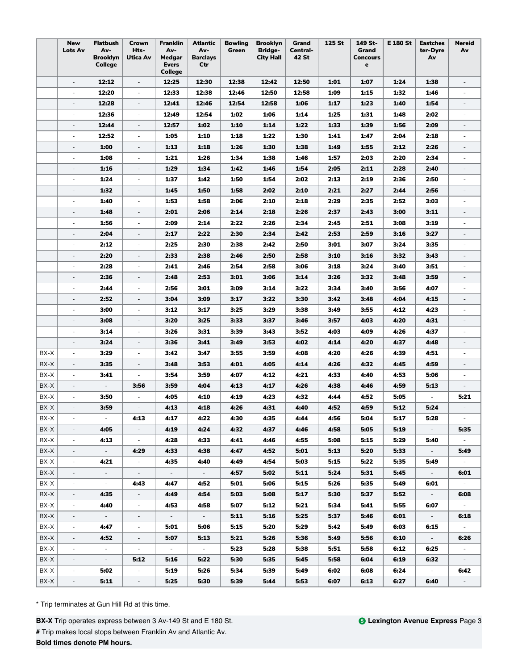| <b>New</b><br><b>Flatbush</b><br><b>Franklin</b><br><b>Bowling</b><br><b>Brooklyn</b><br>125 St<br>149 St-<br>Crown<br>Atlantic<br>Grand<br>Av-<br>Hts-<br>Av-<br>Av-<br>Green<br><b>Bridge-</b><br><b>Lots Av</b><br>Central-<br>Grand<br><b>Brooklyn</b><br>Utica Av<br><b>Medgar</b><br><b>Barclays</b><br><b>City Hall</b><br>42 St<br><b>Concours</b><br>College<br><b>Evers</b><br>Ctr<br>$\mathbf e$<br>College | E 180 St | <b>Eastches</b><br>ter-Dyre<br>Av | <b>Nereid</b><br>Av      |
|------------------------------------------------------------------------------------------------------------------------------------------------------------------------------------------------------------------------------------------------------------------------------------------------------------------------------------------------------------------------------------------------------------------------|----------|-----------------------------------|--------------------------|
| 12:12<br>12:30<br>12:38<br>12:42<br>12:50<br>1:01<br>$\overline{\phantom{a}}$<br>$\overline{\phantom{a}}$<br>12:25<br>1:07                                                                                                                                                                                                                                                                                             | 1:24     | 1:38                              | $\overline{\phantom{a}}$ |
| 12:20<br>12:33<br>12:38<br>12:50<br>12:46<br>12:58<br>1:09<br>1:15<br>$\overline{\phantom{a}}$<br>L.                                                                                                                                                                                                                                                                                                                   | 1:32     | 1:46                              |                          |
| 12:28<br>12:41<br>12:46<br>12:54<br>12:58<br>1:23<br>1:06<br>1:17<br>$\overline{\phantom{a}}$<br>$\overline{\phantom{a}}$                                                                                                                                                                                                                                                                                              | 1:40     | 1:54                              |                          |
| 12:36<br>12:49<br>12:54<br>1:02<br>1:06<br>1:14<br>1:25<br>1:31<br>÷,                                                                                                                                                                                                                                                                                                                                                  | 1:48     | 2:02                              |                          |
| 12:44<br>12:57<br>1:02<br>1:14<br>1:22<br>1:33<br>1:39<br>1:10<br>$\overline{\phantom{a}}$<br>$\overline{\phantom{a}}$                                                                                                                                                                                                                                                                                                 | 1:56     | 2:09                              | $\overline{\phantom{a}}$ |
| 12:52<br>1:22<br>1:05<br>1:10<br>1:18<br>1:30<br>1:41<br>1:47<br>$\overline{\phantom{a}}$<br>$\overline{\phantom{a}}$                                                                                                                                                                                                                                                                                                  | 2:04     | 2:18                              | ×.                       |
| 1:00<br>1:30<br>1:13<br>1:18<br>1:26<br>1:38<br>1:49<br>1:55<br>$\overline{\phantom{a}}$<br>$\overline{\phantom{a}}$                                                                                                                                                                                                                                                                                                   | 2:12     | 2:26                              | $\overline{\phantom{a}}$ |
| 1:08<br>1:21<br>1:26<br>1:34<br>1:38<br>2:03<br>1:46<br>1:57<br>$\overline{\phantom{a}}$<br>$\overline{\phantom{a}}$                                                                                                                                                                                                                                                                                                   | 2:20     | 2:34                              | $\overline{\phantom{a}}$ |
| 1:29<br>1:34<br>1:54<br>2:11<br>1:16<br>1:42<br>1:46<br>2:05<br>$\overline{\phantom{a}}$<br>$\overline{\phantom{0}}$                                                                                                                                                                                                                                                                                                   | 2:28     | 2:40                              | $\overline{\phantom{a}}$ |
| 1:42<br>1:50<br>1:54<br>2:02<br>2:19<br>1:24<br>1:37<br>2:13<br>$\overline{\phantom{a}}$<br>$\overline{\phantom{a}}$                                                                                                                                                                                                                                                                                                   | 2:36     | 2:50                              |                          |
| 1:50<br>1:32<br>1:45<br>1:58<br>2:02<br>2:10<br>2:21<br>2:27<br>$\overline{\phantom{0}}$                                                                                                                                                                                                                                                                                                                               | 2:44     | 2:56                              |                          |
| 1:40<br>1:53<br>1:58<br>2:06<br>2:10<br>2:18<br>2:29<br>2:35<br>$\blacksquare$<br>$\overline{\phantom{a}}$                                                                                                                                                                                                                                                                                                             | 2:52     | 3:03                              | $\overline{\phantom{a}}$ |
| 1:48<br>2:01<br>2:06<br>2:14<br>2:18<br>2:26<br>2:37<br>2:43<br>$\overline{\phantom{a}}$<br>$\overline{\phantom{a}}$                                                                                                                                                                                                                                                                                                   | 3:00     | 3:11                              | $\overline{\phantom{a}}$ |
| 1:56<br>2:09<br>2:14<br>2:22<br>2:26<br>2:34<br>$\overline{\phantom{a}}$<br>2:45<br>2:51<br>$\overline{\phantom{a}}$                                                                                                                                                                                                                                                                                                   | 3:08     | 3:19                              | $\overline{\phantom{a}}$ |
| 2:04<br>2:17<br>2:22<br>2:30<br>2:34<br>2:42<br>2:53<br>2:59<br>$\overline{\phantom{a}}$<br>$\overline{\phantom{a}}$                                                                                                                                                                                                                                                                                                   | 3:16     | 3:27                              | $\overline{\phantom{a}}$ |
| 2:12<br>2:25<br>2:30<br>2:38<br>2:42<br>2:50<br>3:01<br>3:07<br>$\overline{\phantom{a}}$                                                                                                                                                                                                                                                                                                                               | 3:24     | 3:35                              |                          |
| 2:20<br>2:33<br>2:38<br>2:50<br>2:58<br>3:10<br>3:16<br>2:46<br>$\overline{\phantom{a}}$<br>$\overline{\phantom{a}}$                                                                                                                                                                                                                                                                                                   | 3:32     | 3:43                              |                          |
| 2:58<br>2:28<br>2:41<br>2:46<br>2:54<br>3:06<br>3:18<br>3:24<br>$\overline{\phantom{a}}$                                                                                                                                                                                                                                                                                                                               | 3:40     | 3:51                              |                          |
| 2:36<br>2:48<br>2:53<br>3:01<br>3:06<br>3:14<br>3:26<br>3:32<br>$\overline{\phantom{a}}$<br>$\overline{\phantom{a}}$                                                                                                                                                                                                                                                                                                   | 3:48     | 3:59                              | $\overline{\phantom{a}}$ |
| 2:56<br>2:44<br>3:01<br>3:09<br>3:14<br>3:22<br>3:34<br>3:40<br>$\overline{\phantom{a}}$<br>$\overline{\phantom{a}}$                                                                                                                                                                                                                                                                                                   | 3:56     | 4:07                              | $\overline{\phantom{a}}$ |
| 2:52<br>3:04<br>3:09<br>3:17<br>3:22<br>3:30<br>3:42<br>3:48<br>$\overline{\phantom{a}}$<br>$\overline{\phantom{a}}$                                                                                                                                                                                                                                                                                                   | 4:04     | 4:15                              | $\overline{\phantom{a}}$ |
| 3:00<br>3:12<br>3:17<br>3:25<br>3:29<br>3:38<br>3:49<br>3:55<br>$\overline{\phantom{a}}$<br>$\overline{\phantom{a}}$                                                                                                                                                                                                                                                                                                   | 4:12     | 4:23                              |                          |
| 3:08<br>3:20<br>3:25<br>3:33<br>3:37<br>3:46<br>3:57<br>4:03<br>$\overline{\phantom{a}}$<br>$\overline{\phantom{0}}$                                                                                                                                                                                                                                                                                                   | 4:20     | 4:31                              |                          |
| 3:14<br>3:26<br>3:31<br>3:39<br>3:43<br>3:52<br>4:03<br>4:09<br>$\sim$<br>$\sim$                                                                                                                                                                                                                                                                                                                                       | 4:26     | 4:37                              |                          |
| 3:24<br>3:36<br>3:41<br>3:49<br>3:53<br>4:02<br>4:14<br>4:20<br>$\overline{\phantom{a}}$<br>$\overline{\phantom{a}}$                                                                                                                                                                                                                                                                                                   | 4:37     | 4:48                              |                          |
| 3:59<br>BX-X<br>3:29<br>3:42<br>3:47<br>3:55<br>4:08<br>4:20<br>4:26<br>$\overline{\phantom{a}}$<br>$\overline{\phantom{a}}$                                                                                                                                                                                                                                                                                           | 4:39     | 4:51                              | $\overline{\phantom{a}}$ |
| 3:53<br>4:05<br>4:32<br>BX-X<br>3:35<br>3:48<br>4:01<br>4:14<br>4:26<br>$\overline{\phantom{a}}$<br>$\overline{\phantom{a}}$                                                                                                                                                                                                                                                                                           | 4:45     | 4:59                              | $\overline{\phantom{a}}$ |
| BX-X<br>3:54<br>3:59<br>4:12<br>4:21<br>4:33<br>3:41<br>4:07<br>4:40<br>$\overline{\phantom{a}}$<br>$\blacksquare$                                                                                                                                                                                                                                                                                                     | 4:53     | 5:06                              | $\overline{\phantom{a}}$ |
| BX-X<br>3:56<br>3:59<br>4:04<br>4:13<br>4:17<br>4:26<br>4:38<br>$\overline{\phantom{a}}$<br>$\overline{\phantom{a}}$<br>4:46                                                                                                                                                                                                                                                                                           | 4:59     | 5:13                              |                          |
| 3:50<br>4:05<br>4:10<br>4:23<br>4:32<br>4:44<br>4:52<br>BX-X<br>4:19<br>$\overline{\phantom{a}}$<br>$\overline{\phantom{a}}$                                                                                                                                                                                                                                                                                           | 5:05     |                                   | 5:21                     |
| 4:31<br>4:59<br>BX-X<br>3:59<br>4:13<br>4:18<br>4:26<br>4:40<br>4:52                                                                                                                                                                                                                                                                                                                                                   | 5:12     | 5:24                              |                          |
| BX-X<br>4:13<br>4:17<br>4.22<br>4.30<br>4:35<br>4:44<br>4:56<br>5:04                                                                                                                                                                                                                                                                                                                                                   | 5:17     | 5:28                              |                          |
| BX-X<br>4:05<br>4:19<br>4:24<br>4:32<br>4:37<br>4:46<br>4:58<br>5:05<br>$\overline{\phantom{a}}$                                                                                                                                                                                                                                                                                                                       | 5:19     | $\sim$                            | 5:35                     |
| BX-X<br>4:28<br>4:55<br>4:13<br>4:33<br>4:41<br>4:46<br>5:08<br>5:15<br>$\blacksquare$<br>$\overline{\phantom{a}}$                                                                                                                                                                                                                                                                                                     | 5:29     | 5:40                              | $\sim$                   |
| BX-X<br>4:29<br>4:52<br>$\sim$<br>4:33<br>4:38<br>4:47<br>5:01<br>5:13<br>5:20<br>$\overline{\phantom{a}}$                                                                                                                                                                                                                                                                                                             | 5:33     | $\sim$                            | 5:49                     |
| BX-X<br>4:21<br>4:35<br>4:40<br>4:49<br>4:54<br>5:03<br>5:15<br>5:22<br>$\overline{\phantom{a}}$<br>$\sim$                                                                                                                                                                                                                                                                                                             | 5:35     | 5:49                              | $\sim$                   |
| $\mathcal{L}_{\mathcal{A}}$<br>$\sim$<br>$\sim$<br>5:02<br>5:24<br>BX-X<br>$\overline{\phantom{a}}$<br>$\sim$<br>4:57<br>5:11<br>5:31                                                                                                                                                                                                                                                                                  | 5:45     | $\sim$                            | 6:01                     |
| BX-X<br>4:43<br>4:47<br>4:52<br>5:01<br>5:06<br>5:15<br>5:26<br>5:35<br>$\sim$                                                                                                                                                                                                                                                                                                                                         | 5:49     | 6:01                              |                          |
| 4:54<br>5:17<br>5:37<br>BX-X<br>4:35<br>4:49<br>5:03<br>5:08<br>5:30<br>$\overline{\phantom{a}}$<br>$\overline{\phantom{a}}$                                                                                                                                                                                                                                                                                           | 5:52     | $\sim$                            | 6:08                     |
| BX-X<br>4:40<br>4:53<br>4:58<br>5:07<br>5:12<br>5:21<br>5:34<br>5:41                                                                                                                                                                                                                                                                                                                                                   | 5:55     | 6:07                              |                          |
| BX-X<br>5:25<br>5:11<br>5:16<br>5:37<br>5:46<br>$\overline{\phantom{a}}$<br>$\sim$<br>$\overline{\phantom{a}}$<br>$\sim$<br>$\sigma_{\rm{eff}}$                                                                                                                                                                                                                                                                        | 6:01     | $\sim$                            | 6:18                     |
| BX-X<br>4:47<br>5:01<br>5:06<br>5:15<br>5:20<br>5:29<br>5:42<br>5:49<br>$\overline{\phantom{a}}$<br>$\overline{\phantom{a}}$                                                                                                                                                                                                                                                                                           | 6:03     | 6:15                              |                          |
| BX-X<br>$\overline{\phantom{a}}$<br>4:52<br>5:07<br>5:13<br>5:21<br>5:26<br>5:36<br>5:49<br>5:56<br>$\overline{\phantom{a}}$                                                                                                                                                                                                                                                                                           | 6:10     | $\sim$                            | 6:26                     |
| BX-X<br>5:23<br>$\overline{\phantom{a}}$<br>$\sim$<br>$\sim$<br>$\sim$<br>5:28<br>5:38<br>5:51<br>5:58<br>$\overline{\phantom{a}}$                                                                                                                                                                                                                                                                                     | 6:12     | 6:25                              |                          |
| 5:35<br>BX-X<br>5:12<br>5:16<br>5:22<br>5:30<br>5:45<br>5:58<br>6:04<br>$\bar{a}$<br>$\sim$                                                                                                                                                                                                                                                                                                                            | 6:19     | 6:32                              | $\sim$                   |
| BX-X<br>5:02<br>5:19<br>5:26<br>5:34<br>5:39<br>5:49<br>6:02<br>6:08<br>$\overline{\phantom{a}}$<br>$\overline{\phantom{a}}$                                                                                                                                                                                                                                                                                           | 6:24     | $\sim$                            | 6:42                     |
| BX-X<br>5:11<br>5:25<br>5:30<br>5:39<br>5:44<br>5:53<br>6:07<br>6:13<br>$\overline{\phantom{a}}$<br>$\overline{\phantom{a}}$                                                                                                                                                                                                                                                                                           | 6:27     | 6:40                              | $\sim$                   |

**#** Trip makes local stops between Franklin Av and Atlantic Av.

**Bold times denote PM hours.**

**BX-X** Trip operates express between 3 Av-149 St and E 180 St.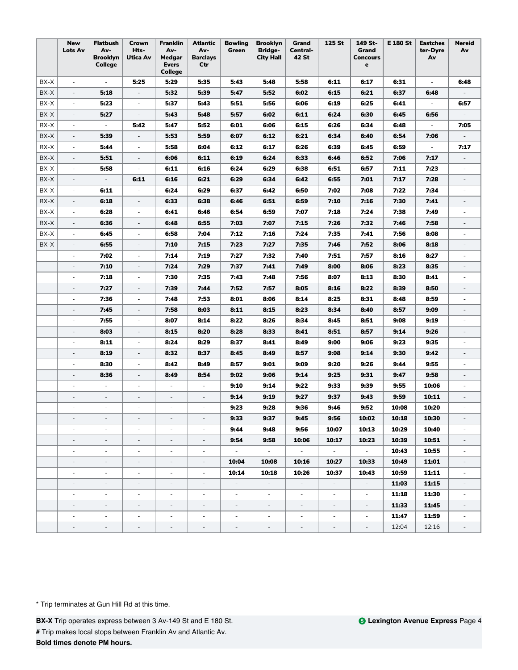|      | <b>New</b><br>Lots Av    | <b>Flatbush</b><br>Av-<br><b>Brooklyn</b><br><b>College</b> | Crown<br>Hts-<br><b>Utica Av</b> | <b>Franklin</b><br>Av-<br>Medgar<br><b>Evers</b><br>College | Atlantic<br>Av-<br><b>Barclays</b><br>Ctr | <b>Bowling</b><br>Green  | <b>Brooklyn</b><br><b>Bridge-</b><br><b>City Hall</b> | Grand<br>Central-<br>42 St | 125 St          | 149 St-<br>Grand<br><b>Concours</b><br>e | <b>E 180 St</b> | <b>Eastches</b><br>ter-Dyre<br>Av | <b>Nereid</b><br>Av         |
|------|--------------------------|-------------------------------------------------------------|----------------------------------|-------------------------------------------------------------|-------------------------------------------|--------------------------|-------------------------------------------------------|----------------------------|-----------------|------------------------------------------|-----------------|-----------------------------------|-----------------------------|
| BX-X | $\overline{\phantom{a}}$ | $\omega$                                                    | 5:25                             | 5:29                                                        | 5:35                                      | 5:43                     | 5:48                                                  | 5:58                       | 6:11            | 6:17                                     | 6:31            | $\overline{\phantom{a}}$          | 6:48                        |
| BX-X | $\overline{\phantom{a}}$ | 5:18                                                        | $\overline{\phantom{a}}$         | 5:32                                                        | 5:39                                      | 5:47                     | 5:52                                                  | 6:02                       | 6:15            | 6:21                                     | 6:37            | 6:48                              |                             |
| BX-X | $\overline{\phantom{a}}$ | 5:23                                                        | ÷,                               | 5:37                                                        | 5:43                                      | 5:51                     | 5:56                                                  | 6:06                       | 6:19            | 6:25                                     | 6:41            | $\overline{\phantom{a}}$          | 6:57                        |
| BX-X | $\qquad \qquad -$        | 5:27                                                        |                                  | 5:43                                                        | 5:48                                      | 5:57                     | 6:02                                                  | 6:11                       | 6:24            | 6:30                                     | 6:45            | 6:56                              |                             |
| BX-X | $\overline{\phantom{a}}$ | $\overline{\phantom{a}}$                                    | 5:42                             | 5:47                                                        | 5:52                                      | 6:01                     | 6:06                                                  | 6:15                       | 6:26            | 6:34                                     | 6:48            | $\overline{\phantom{a}}$          | 7:05                        |
| BX-X | $\overline{\phantom{a}}$ | 5:39                                                        | $\overline{\phantom{a}}$         | 5:53                                                        | 5:59                                      | 6:07                     | 6:12                                                  | 6:21                       | 6:34            | 6:40                                     | 6:54            | 7:06                              |                             |
| BX-X | $\overline{\phantom{a}}$ | 5:44                                                        | $\overline{\phantom{a}}$         | 5:58                                                        | 6:04                                      | 6:12                     | 6:17                                                  | 6:26                       | 6:39            | 6:45                                     | 6:59            | $\overline{\phantom{a}}$          | 7:17                        |
| BX-X | $\overline{\phantom{a}}$ | 5:51                                                        | $\overline{\phantom{a}}$         | 6:06                                                        | 6:11                                      | 6:19                     | 6:24                                                  | 6:33                       | 6:46            | 6:52                                     | 7:06            | 7:17                              |                             |
| BX-X | $\overline{\phantom{a}}$ | 5:58                                                        | $\sim$                           | 6:11                                                        | 6:16                                      | 6:24                     | 6:29                                                  | 6:38                       | 6:51            | 6:57                                     | 7:11            | 7:23                              |                             |
| BX-X | $\overline{\phantom{a}}$ | $\overline{\phantom{a}}$                                    | 6:11                             | 6:16                                                        | 6:21                                      | 6:29                     | 6:34                                                  | 6:42                       | 6:55            | 7:01                                     | 7:17            | 7:28                              | $\overline{\phantom{a}}$    |
| BX-X | $\overline{\phantom{a}}$ | 6:11                                                        | $\overline{\phantom{a}}$         | 6:24                                                        | 6:29                                      | 6:37                     | 6:42                                                  | 6:50                       | 7:02            | 7:08                                     | 7:22            | 7:34                              | $\overline{\phantom{m}}$    |
| BX-X | $\overline{\phantom{a}}$ | 6:18                                                        | $\overline{\phantom{a}}$         | 6:33                                                        | 6:38                                      | 6:46                     | 6:51                                                  | 6:59                       | 7:10            | 7:16                                     | 7:30            | 7:41                              | $\overline{\phantom{a}}$    |
| BX-X | $\overline{\phantom{a}}$ | 6:28                                                        | $\overline{\phantom{a}}$         | 6:41                                                        | 6:46                                      | 6:54                     | 6:59                                                  | 7:07                       | 7:18            | 7:24                                     | 7:38            | 7:49                              | $\overline{\phantom{a}}$    |
| BX-X | $\overline{\phantom{a}}$ | 6:36                                                        | $\overline{\phantom{a}}$         | 6:48                                                        | 6:55                                      | 7:03                     | 7:07                                                  | 7:15                       | 7:26            | 7:32                                     | 7:46            | 7:58                              | $\overline{\phantom{0}}$    |
| BX-X | $\overline{\phantom{a}}$ | 6:45                                                        | $\overline{\phantom{a}}$         | 6:58                                                        | 7:04                                      | 7:12                     | 7:16                                                  | 7:24                       | 7:35            | 7:41                                     | 7:56            | 8:08                              | $\overline{\phantom{a}}$    |
| BX-X | $\overline{\phantom{a}}$ | 6:55                                                        | $\overline{\phantom{a}}$         | 7:10                                                        | 7:15                                      | 7:23                     | 7:27                                                  | 7:35                       | 7:46            | 7:52                                     | 8:06            | 8:18                              |                             |
|      | ÷,                       | 7:02                                                        | ÷,                               | 7:14                                                        | 7:19                                      | 7:27                     | 7:32                                                  | 7:40                       | 7:51            | 7:57                                     | 8:16            | 8:27                              |                             |
|      |                          | 7:10                                                        |                                  | 7:24                                                        | 7:29                                      | 7:37                     | 7:41                                                  | 7:49                       | 8:00            | 8:06                                     | 8:23            | 8:35                              |                             |
|      | $\overline{\phantom{a}}$ | 7:18                                                        | $\overline{\phantom{a}}$         | 7:30                                                        | 7:35                                      | 7:43                     | 7:48                                                  | 7:56                       | 8:07            | 8:13                                     | 8:30            | 8:41                              | $\overline{\phantom{a}}$    |
|      | $\overline{\phantom{a}}$ | 7:27                                                        | $\overline{\phantom{a}}$         | 7:39                                                        | 7:44                                      | 7:52                     | 7:57                                                  | 8:05                       | 8:16            | 8:22                                     | 8:39            | 8:50                              | $\overline{\phantom{a}}$    |
|      | $\overline{\phantom{a}}$ | 7:36                                                        | $\overline{\phantom{a}}$         | 7:48                                                        | 7:53                                      | 8:01                     | 8:06                                                  | 8:14                       | 8:25            | 8:31                                     | 8:48            | 8:59                              | $\overline{\phantom{a}}$    |
|      | $\overline{\phantom{a}}$ | 7:45                                                        | $\overline{\phantom{a}}$         | 7:58                                                        | 8:03                                      | 8:11                     | 8:15                                                  | 8:23                       | 8:34            | 8:40                                     | 8:57            | 9:09                              | $\overline{\phantom{a}}$    |
|      | $\overline{\phantom{a}}$ | 7:55                                                        | ÷,                               | 8:07                                                        | 8:14                                      | 8:22                     | 8:26                                                  | 8:34                       | 8:45            | 8:51                                     | 9:08            | 9:19                              |                             |
|      | $\overline{a}$           | 8:03                                                        | $\overline{a}$                   | 8:15                                                        | 8:20                                      | 8:28                     | 8:33                                                  | 8:41                       | 8:51            | 8:57                                     | 9:14            | 9:26                              |                             |
|      | ÷,                       | 8:11                                                        | $\overline{\phantom{a}}$         | 8:24                                                        | 8:29                                      | 8:37                     | 8:41                                                  | 8:49                       | 9:00            | 9:06                                     | 9:23            | 9:35                              | $\overline{a}$              |
|      | $\overline{\phantom{a}}$ | 8:19                                                        | $\overline{\phantom{a}}$         | 8:32                                                        | 8:37                                      | 8:45                     | 8:49                                                  | 8:57                       | 9:08            | 9:14                                     | 9:30            | 9:42                              | $\overline{\phantom{a}}$    |
|      | $\overline{\phantom{a}}$ | 8:30                                                        | $\overline{\phantom{a}}$         | 8:42                                                        | 8:49                                      | 8:57                     | 9:01                                                  | 9:09                       | 9:20            | 9:26                                     | 9:44            | 9:55                              | $\overline{\phantom{a}}$    |
|      | $\overline{\phantom{a}}$ | 8:36                                                        | $\overline{\phantom{a}}$         | 8:49                                                        | 8:54                                      | 9:02                     | 9:06                                                  | 9:14                       | 9:25            | 9:31                                     | 9:47            | 9:58                              | $\overline{\phantom{a}}$    |
|      | $\overline{\phantom{a}}$ | $\bar{a}$                                                   | $\overline{\phantom{a}}$         | $\overline{\phantom{a}}$                                    |                                           | 9:10                     | 9:14                                                  | 9:22                       | 9:33            | 9:39                                     | 9:55            | 10:06                             |                             |
|      |                          |                                                             |                                  | $\overline{\phantom{a}}$                                    |                                           | 9:14                     | 9:19                                                  | 9:27                       | 9:37            | 9:43                                     | 9:59            | 10:11                             |                             |
|      |                          |                                                             | $\sim$                           |                                                             |                                           | 9:23                     | 9:28                                                  | 9:36                       | 9:46            | 9:52                                     | 10:08           | 10:20                             |                             |
|      |                          |                                                             |                                  |                                                             |                                           | 9.33                     | 9:37                                                  | 9:45                       | 9:56            | 10:02                                    | 10:18           | 10:30                             |                             |
|      | $\blacksquare$           | $\overline{\phantom{a}}$                                    | $\sim$                           | $\sim$                                                      | $\sim$                                    | 9:44                     | 9:48                                                  | 9:56                       | 10:07           | 10:13                                    | 10:29           | 10:40                             | $\overline{\phantom{a}}$    |
|      | $\frac{1}{2}$            | $\overline{\phantom{a}}$                                    | $\overline{\phantom{a}}$         | $\sim$                                                      | $\overline{\phantom{a}}$                  | 9:54                     | 9:58                                                  | 10:06                      | 10:17           | 10:23                                    | 10:39           | 10:51                             | $\overline{\phantom{a}}$    |
|      | $\overline{\phantom{a}}$ | $\overline{\phantom{a}}$                                    | $\overline{\phantom{a}}$         | $\overline{\phantom{a}}$                                    | $\overline{\phantom{a}}$                  | $\sim$                   | $\sim$ $-$                                            | $\sim 10^{-11}$            | $\sim 10^{-11}$ | $\sim$                                   | 10:43           | 10:55                             | $\overline{\phantom{a}}$    |
|      | $\overline{\phantom{a}}$ | $\overline{\phantom{a}}$                                    | $\overline{\phantom{a}}$         | $\sim$                                                      | $\overline{\phantom{a}}$                  | 10:04                    | 10:08                                                 | 10:16                      | 10:27           | 10:33                                    | 10:49           | 11:01                             | $\overline{\phantom{a}}$    |
|      | $\overline{\phantom{a}}$ | $\overline{\phantom{a}}$                                    | $\overline{\phantom{a}}$         | $\sim$                                                      | $\omega$                                  | 10:14                    | 10:18                                                 | 10:26                      | 10:37           | 10:43                                    | 10:59           | 11:11                             | $\mathcal{L}_{\mathcal{A}}$ |
|      | $\overline{\phantom{a}}$ | $\overline{\phantom{a}}$                                    | $\overline{\phantom{a}}$         | $\overline{\phantom{a}}$                                    | $\frac{1}{2}$                             | $\sim$                   | $\sim$                                                | $\sim$                     | $\sim$          | $\sim$                                   | 11:03           | 11:15                             |                             |
|      | $\overline{\phantom{a}}$ | $\overline{\phantom{a}}$                                    | $\overline{\phantom{a}}$         | $\overline{\phantom{a}}$                                    | $\overline{\phantom{0}}$                  | $\sim$                   | $\sim$                                                | $\sim$                     | $\sim$          | $\overline{\phantom{a}}$                 | 11:18           | 11:30                             | $\overline{\phantom{a}}$    |
|      | $\overline{\phantom{a}}$ | $\overline{\phantom{a}}$                                    | $\overline{\phantom{a}}$         | $\sim$                                                      |                                           | $\overline{\phantom{a}}$ | $\sim$                                                | $\overline{\phantom{a}}$   | $\sim$          | $\overline{\phantom{a}}$                 | 11:33           | 11:45                             |                             |
|      | $\overline{\phantom{a}}$ | $\sim$                                                      | $\overline{\phantom{a}}$         | $\sim$                                                      | $\overline{\phantom{a}}$                  | $\sim$                   | $\sim$                                                | $\sim$                     | $\sim$          | $\sim$                                   | 11:47           | 11:59                             | $\sim$                      |
|      | $\overline{\phantom{a}}$ | $\sim$                                                      | $\overline{\phantom{a}}$         | $\sim$                                                      | $\overline{\phantom{a}}$                  | $\sim$                   | $\sim$                                                | $\sim$                     | $\sim$          | $\blacksquare$                           | 12:04           | 12:16                             | $\sim$                      |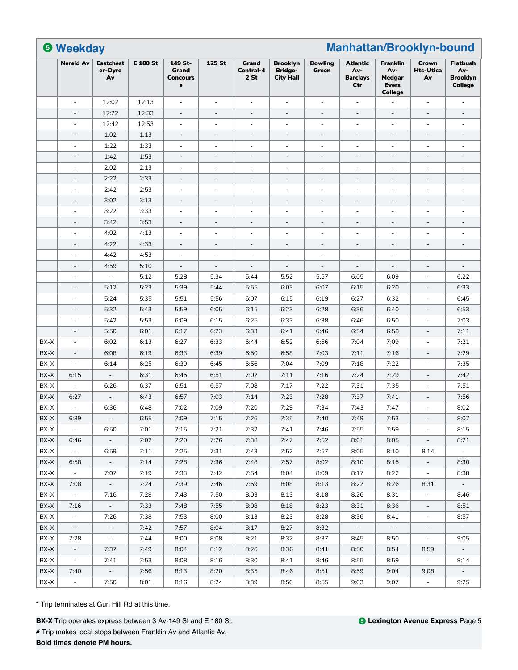|      | <b>6 Weekday</b>         |                                   |                 |                                          |                          | <b>Manhattan/Brooklyn-bound</b> |                                                       |                          |                                                  |                                                                    |                                 |                                                      |  |
|------|--------------------------|-----------------------------------|-----------------|------------------------------------------|--------------------------|---------------------------------|-------------------------------------------------------|--------------------------|--------------------------------------------------|--------------------------------------------------------------------|---------------------------------|------------------------------------------------------|--|
|      | <b>Nereid Av</b>         | <b>Eastchest</b><br>er-Dyre<br>Av | <b>E 180 St</b> | 149 St-<br>Grand<br><b>Concours</b><br>e | 125 St                   | Grand<br>Central-4<br>2St       | <b>Brooklyn</b><br><b>Bridge-</b><br><b>City Hall</b> | <b>Bowling</b><br>Green  | <b>Atlantic</b><br>Av-<br><b>Barclays</b><br>Ctr | <b>Franklin</b><br>Av-<br>Medgar<br><b>Evers</b><br><b>College</b> | Crown<br><b>Hts-Utica</b><br>Av | <b>Flatbush</b><br>Av-<br><b>Brooklyn</b><br>College |  |
|      | $\overline{\phantom{a}}$ | 12:02                             | 12:13           | $\overline{\phantom{a}}$                 | $\overline{\phantom{a}}$ | $\overline{\phantom{a}}$        | $\overline{\phantom{a}}$                              | $\overline{\phantom{a}}$ | $\overline{\phantom{a}}$                         |                                                                    | ÷,                              | $\overline{\phantom{a}}$                             |  |
|      | $\overline{\phantom{a}}$ | 12:22                             | 12:33           | $\bar{a}$                                | $\sim$                   | $\overline{\phantom{a}}$        | $\overline{\phantom{a}}$                              | $\overline{\phantom{a}}$ | $\overline{\phantom{a}}$                         | ÷,                                                                 | ÷,                              | $\sim$                                               |  |
|      | $\overline{\phantom{a}}$ | 12:42                             | 12:53           | $\overline{\phantom{a}}$                 | $\overline{\phantom{a}}$ | $\overline{\phantom{a}}$        | $\overline{\phantom{a}}$                              | $\overline{\phantom{a}}$ | $\overline{\phantom{a}}$                         | ÷                                                                  | $\overline{\phantom{a}}$        | $\overline{\phantom{a}}$                             |  |
|      | $\overline{\phantom{a}}$ | 1:02                              | 1:13            | $\overline{\phantom{a}}$                 | $\overline{\phantom{a}}$ | $\overline{\phantom{a}}$        | $\overline{\phantom{a}}$                              | $\overline{\phantom{a}}$ | $\overline{\phantom{a}}$                         | $\bar{ }$                                                          | $\overline{\phantom{a}}$        | $\overline{\phantom{a}}$                             |  |
|      | $\sim$                   | 1:22                              | 1:33            | $\sim$                                   | $\sim$                   | ÷.                              | $\sim$                                                | ä,                       | $\sim$                                           | $\sim$                                                             | $\overline{a}$                  | $\sim$                                               |  |
|      |                          | 1:42                              | 1:53            |                                          |                          | L,                              |                                                       | L,                       | $\overline{\phantom{a}}$                         |                                                                    | L,                              |                                                      |  |
|      | i.                       | 2:02                              | 2:13            | $\sim$                                   | ä,                       | ÷,                              | $\sim$                                                | $\bar{a}$                | $\sim$                                           | $\sim$                                                             | $\overline{a}$                  | $\sim$                                               |  |
|      | $\overline{\phantom{a}}$ | 2:22                              | 2:33            | $\overline{\phantom{a}}$                 | $\overline{\phantom{a}}$ | $\overline{\phantom{a}}$        | $\overline{\phantom{a}}$                              | $\overline{\phantom{a}}$ | $\overline{\phantom{a}}$                         | $\overline{\phantom{a}}$                                           | $\overline{\phantom{a}}$        | $\overline{\phantom{a}}$                             |  |
|      | $\sim$                   | 2:42                              | 2:53            | $\overline{\phantom{a}}$                 | $\overline{\phantom{a}}$ | $\overline{\phantom{a}}$        | $\overline{\phantom{a}}$                              | $\overline{\phantom{a}}$ | $\overline{\phantom{a}}$                         | $\overline{\phantom{0}}$                                           | $\overline{\phantom{a}}$        | $\sim$                                               |  |
|      | $\overline{\phantom{a}}$ | 3:02                              | 3:13            | $\overline{\phantom{a}}$                 | $\overline{\phantom{a}}$ | $\overline{\phantom{a}}$        | $\overline{\phantom{a}}$                              | $\overline{\phantom{a}}$ | $\overline{\phantom{a}}$                         | ÷,                                                                 | $\overline{\phantom{0}}$        | $\overline{\phantom{a}}$                             |  |
|      | $\overline{\phantom{a}}$ | 3:22                              | 3:33            | $\overline{\phantom{a}}$                 | $\overline{\phantom{a}}$ | $\overline{\phantom{a}}$        | $\overline{\phantom{a}}$                              | $\overline{\phantom{a}}$ | ÷,                                               | $\overline{\phantom{0}}$                                           | $\overline{\phantom{a}}$        | $\overline{\phantom{a}}$                             |  |
|      | $\overline{\phantom{a}}$ | 3:42                              | 3:53            | $\overline{\phantom{a}}$                 | $\sim$                   | $\overline{\phantom{a}}$        | $\sim$                                                | $\overline{a}$           | $\sim$                                           | $\overline{\phantom{a}}$                                           | $\overline{a}$                  | $\sim$                                               |  |
|      | ÷,                       | 4:02                              | 4:13            | $\overline{\phantom{a}}$                 | $\overline{\phantom{0}}$ | $\overline{\phantom{a}}$        | $\overline{\phantom{a}}$                              | $\frac{1}{2}$            | $\overline{\phantom{a}}$                         | ÷,                                                                 | $\overline{\phantom{a}}$        | $\overline{\phantom{a}}$                             |  |
|      | $\overline{\phantom{a}}$ | 4:22                              | 4:33            | $\overline{\phantom{a}}$                 | $\overline{\phantom{a}}$ | $\overline{\phantom{a}}$        | $\overline{\phantom{a}}$                              | $\overline{\phantom{a}}$ | $\overline{\phantom{a}}$                         | $\qquad \qquad -$                                                  | $\overline{\phantom{m}}$        | $\qquad \qquad -$                                    |  |
|      | $\overline{\phantom{a}}$ | 4:42                              | 4:53            | $\overline{\phantom{a}}$                 | $\overline{\phantom{a}}$ | $\overline{\phantom{a}}$        | $\overline{\phantom{a}}$                              | $\overline{\phantom{a}}$ | $\overline{\phantom{a}}$                         | $\overline{\phantom{a}}$                                           | $\overline{\phantom{a}}$        | $\overline{\phantom{a}}$                             |  |
|      | $\overline{\phantom{a}}$ | 4:59                              | 5:10            | $\blacksquare$                           | $\overline{\phantom{a}}$ | $\overline{\phantom{a}}$        | $\overline{\phantom{a}}$                              | $\overline{\phantom{a}}$ | $\overline{\phantom{a}}$                         | ÷,                                                                 | $\overline{a}$                  | $\overline{\phantom{a}}$                             |  |
|      | $\sim$                   | $\overline{\phantom{a}}$          | 5:12            | 5:28                                     | 5:34                     | 5:44                            | 5:52                                                  | 5:57                     | 6:05                                             | 6:09                                                               | ÷,                              | 6:22                                                 |  |
|      | $\sim$                   | 5:12                              | 5:23            | 5:39                                     | 5:44                     | 5:55                            | 6:03                                                  | 6:07                     | 6:15                                             | 6:20                                                               | $\overline{\phantom{a}}$        | 6:33                                                 |  |
|      | ÷.                       | 5:24                              | 5:35            | 5:51                                     | 5:56                     | 6:07                            | 6:15                                                  | 6:19                     | 6:27                                             | 6:32                                                               | $\overline{a}$                  | 6:45                                                 |  |
|      |                          | 5:32                              | 5:43            | 5:59                                     | 6:05                     | 6:15                            | 6:23                                                  | 6:28                     | 6:36                                             | 6:40                                                               |                                 | 6:53                                                 |  |
|      | $\overline{\phantom{a}}$ | 5:42                              | 5:53            | 6:09                                     | 6:15                     | 6:25                            | 6:33                                                  | 6:38                     | 6:46                                             | 6:50                                                               | $\overline{\phantom{a}}$        | 7:03                                                 |  |
|      | $\overline{\phantom{a}}$ | 5:50                              | 6:01            | 6:17                                     | 6:23                     | 6:33                            | 6:41                                                  | 6:46                     | 6:54                                             | 6:58                                                               | $\overline{\phantom{a}}$        | 7:11                                                 |  |
| BX-X | $\overline{\phantom{a}}$ | 6:02                              | 6:13            | 6:27                                     | 6:33                     | 6:44                            | 6:52                                                  | 6:56                     | 7:04                                             | 7:09                                                               | $\overline{\phantom{a}}$        | 7:21                                                 |  |
| BX-X | $\overline{\phantom{a}}$ | 6:08                              | 6:19            | 6:33                                     | 6:39                     | 6:50                            | 6:58                                                  | 7:03                     | 7:11                                             | 7:16                                                               | $\overline{\phantom{a}}$        | 7:29                                                 |  |
| BX-X | ÷,                       | 6:14                              | 6:25            | 6:39                                     | 6:45                     | 6:56                            | 7:04                                                  | 7:09                     | 7:18                                             | 7:22                                                               | ä,                              | 7:35                                                 |  |
| BX-X | 6:15                     | $\overline{\phantom{a}}$          | 6:31            | 6:45                                     | 6:51                     | 7:02                            | 7:11                                                  | 7:16                     | 7:24                                             | 7:29                                                               |                                 | 7:42                                                 |  |
| BX-X |                          | 6:26                              | 6:37            | 6:51                                     | 6:57                     | 7:08                            | 7:17                                                  | 7:22                     | 7:31                                             | 7:35                                                               |                                 | 7:51                                                 |  |
| BX-X | 6:27                     | ÷                                 | 6:43            | 6:57                                     | 7:03                     | 7:14                            | 7:23                                                  | 7:28                     | 7:37                                             | 7:41                                                               | $\qquad \qquad -$               | 7:56                                                 |  |
| BX-X | ÷,                       | 6:36                              | 6:48            | 7:02                                     | 7:09                     | 7:20                            | 7:29                                                  | 7:34                     | 7:43                                             | 7:47                                                               | $\sim$                          | 8:02                                                 |  |
| BX-X | 6:39                     |                                   | 6:55            | 7:09                                     | 7:15                     | 7:26                            | 7:35                                                  | 7:40                     | 7:49                                             | 7:53                                                               |                                 | 8:07                                                 |  |
| BX-X | $\sim$                   | 6:50                              | 7:01            | 7:15                                     | 7:21                     | 7:32                            | 7:41                                                  | 7:46                     | 7:55                                             | 7:59                                                               | $\sim$                          | 8:15                                                 |  |
| BX-X | 6:46                     | $\sim$                            | 7:02            | 7:20                                     | 7:26                     | 7:38                            | 7:47                                                  | 7:52                     | 8:01                                             | 8:05                                                               | $\overline{\phantom{a}}$        | 8:21                                                 |  |
| BX-X | $\sim$                   | 6:59                              | 7:11            | 7:25                                     | 7:31                     | 7:43                            | 7:52                                                  | 7:57                     | 8:05                                             | 8:10                                                               | 8:14                            | $\sim$                                               |  |
| BX-X | 6:58                     | $\sim$                            | 7:14            | 7:28                                     | 7:36                     | 7:48                            | 7:57                                                  | 8:02                     | 8:10                                             | 8:15                                                               | $\overline{\phantom{a}}$        | 8:30                                                 |  |
| BX-X | $\sim$                   | 7:07                              | 7:19            | 7:33                                     | 7:42                     | 7:54                            | 8:04                                                  | 8:09                     | 8:17                                             | 8:22                                                               | $\sim$                          | 8:38                                                 |  |
| BX-X | 7:08                     | $\omega$                          | 7:24            | 7:39                                     | 7:46                     | 7:59                            | 8:08                                                  | 8:13                     | 8:22                                             | 8:26                                                               | 8:31                            | $\sim$                                               |  |
| BX-X | $\omega$                 | 7:16                              | 7:28            | 7:43                                     | 7:50                     | 8:03                            | 8:13                                                  | 8:18                     | 8:26                                             | 8:31                                                               | $\overline{\phantom{a}}$        | 8:46                                                 |  |
| BX-X | 7:16                     | $\omega_{\rm c}$                  | 7:33            | 7:48                                     | 7:55                     | 8:08                            | 8:18                                                  | 8:23                     | 8:31                                             | 8:36                                                               |                                 | 8:51                                                 |  |
| BX-X | $\sim$                   | 7:26                              | 7:38            | 7:53                                     | 8:00                     | 8:13                            | 8:23                                                  | 8:28                     | 8:36                                             | 8:41                                                               | $\overline{\phantom{a}}$        | 8:57                                                 |  |
| BX-X | $\sim$                   | $\overline{\phantom{a}}$          | 7:42            | 7:57                                     | 8:04                     | 8:17                            | 8:27                                                  | 8:32                     | $\sim$                                           | $\sim$                                                             | $\overline{\phantom{a}}$        | $\sim$                                               |  |
| BX-X | 7:28                     | $\sim$                            | 7:44            | 8:00                                     | 8:08                     | 8:21                            | 8:32                                                  | 8:37                     | 8:45                                             | 8:50                                                               | $\sim$                          | 9:05                                                 |  |
| BX-X | $\sim$                   | 7:37                              | 7:49            | 8:04                                     | 8:12                     | 8:26                            | 8:36                                                  | 8:41                     | 8:50                                             | 8:54                                                               | 8:59                            | $\sim$                                               |  |
| BX-X | $\omega$ .               | 7:41                              | 7:53            | 8:08                                     | 8:16                     | 8:30                            | 8:41                                                  | 8:46                     | 8:55                                             | 8:59                                                               | $\omega$                        | 9:14                                                 |  |
| BX-X | 7:40                     | $\sim$                            | 7:56            | 8:13                                     | 8:20                     | 8:35                            | 8:46                                                  | 8:51                     | 8:59                                             | 9:04                                                               | 9:08                            | $\omega_{\rm c}$                                     |  |
| BX-X | $\overline{\phantom{a}}$ | 7:50                              | 8:01            | 8:16                                     | 8:24                     | 8:39                            | 8:50                                                  | 8:55                     | 9:03                                             | 9:07                                                               | $\overline{\phantom{a}}$        | 9:25                                                 |  |
|      |                          |                                   |                 |                                          |                          |                                 |                                                       |                          |                                                  |                                                                    |                                 |                                                      |  |

**#** Trip makes local stops between Franklin Av and Atlantic Av.

**Bold times denote PM hours.**

**BX-X** Trip operates express between 3 Av-149 St and E 180 St.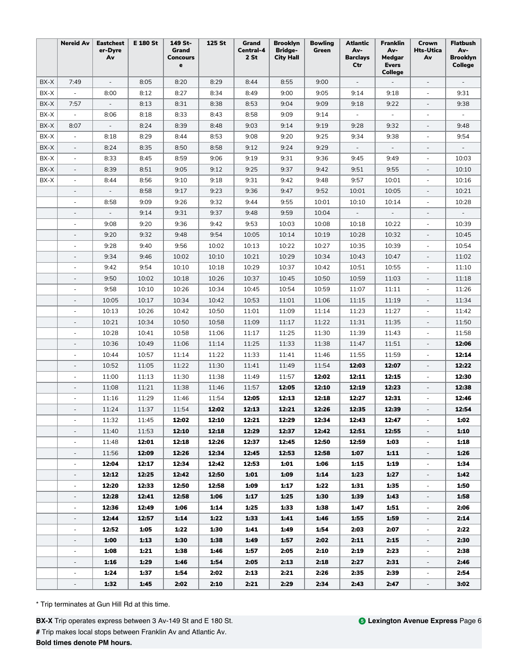|      | <b>Nereid Av</b>         | <b>Eastchest</b><br>er-Dyre<br>Av | <b>E 180 St</b> | 149 St-<br>Grand<br>Concours<br>e | 125 St | Grand<br>Central-4<br>2 St | <b>Brooklyn</b><br><b>Bridge-</b><br><b>City Hall</b> | <b>Bowling</b><br>Green | <b>Atlantic</b><br>Av-<br><b>Barclays</b><br>Ctr | <b>Franklin</b><br>Av-<br>Medgar<br><b>Evers</b><br><b>College</b> | Crown<br><b>Hts-Utica</b><br>Av | <b>Flatbush</b><br>Av-<br><b>Brooklyn</b><br>College |
|------|--------------------------|-----------------------------------|-----------------|-----------------------------------|--------|----------------------------|-------------------------------------------------------|-------------------------|--------------------------------------------------|--------------------------------------------------------------------|---------------------------------|------------------------------------------------------|
| BX-X | 7:49                     | $\overline{\phantom{a}}$          | 8:05            | 8:20                              | 8:29   | 8:44                       | 8:55                                                  | 9:00                    | $\overline{\phantom{a}}$                         | $\overline{\phantom{a}}$                                           | $\overline{\phantom{a}}$        |                                                      |
| BX-X | $\overline{\phantom{a}}$ | 8:00                              | 8:12            | 8:27                              | 8:34   | 8:49                       | 9:00                                                  | 9:05                    | 9:14                                             | 9:18                                                               |                                 | 9:31                                                 |
| BX-X | 7:57                     |                                   | 8:13            | 8:31                              | 8:38   | 8:53                       | 9:04                                                  | 9:09                    | 9:18                                             | 9:22                                                               |                                 | 9:38                                                 |
| BX-X | $\overline{\phantom{a}}$ | 8:06                              | 8:18            | 8:33                              | 8:43   | 8:58                       | 9:09                                                  | 9:14                    |                                                  |                                                                    | $\overline{\phantom{a}}$        |                                                      |
| BX-X | 8:07                     | $\overline{\phantom{a}}$          | 8:24            | 8:39                              | 8:48   | 9:03                       | 9:14                                                  | 9:19                    | 9:28                                             | 9:32                                                               | $\overline{\phantom{a}}$        | 9:48                                                 |
| BX-X | $\overline{\phantom{a}}$ | 8:18                              | 8:29            | 8:44                              | 8:53   | 9:08                       | 9:20                                                  | 9:25                    | 9:34                                             | 9:38                                                               | $\overline{\phantom{a}}$        | 9:54                                                 |
| BX-X | $\overline{\phantom{a}}$ | 8:24                              | 8:35            | 8:50                              | 8:58   | 9:12                       | 9:24                                                  | 9:29                    | $\overline{\phantom{a}}$                         | $\overline{\phantom{a}}$                                           |                                 |                                                      |
| BX-X | $\overline{\phantom{a}}$ | 8:33                              | 8:45            | 8:59                              | 9:06   | 9:19                       | 9:31                                                  | 9:36                    | 9:45                                             | 9:49                                                               | $\overline{\phantom{a}}$        | 10:03                                                |
| BX-X | $\sim$                   | 8:39                              | 8:51            | 9:05                              | 9:12   | 9:25                       | 9:37                                                  | 9:42                    | 9:51                                             | 9:55                                                               |                                 | 10:10                                                |
| BX-X | $\overline{\phantom{a}}$ | 8:44                              | 8:56            | 9:10                              | 9:18   | 9:31                       | 9:42                                                  | 9:48                    | 9:57                                             | 10:01                                                              | $\overline{\phantom{a}}$        | 10:16                                                |
|      | $\overline{\phantom{a}}$ | $\overline{\phantom{a}}$          | 8:58            | 9:17                              | 9:23   | 9:36                       | 9:47                                                  | 9:52                    | 10:01                                            | 10:05                                                              | $\overline{\phantom{a}}$        | 10:21                                                |
|      | $\overline{\phantom{a}}$ | 8:58                              | 9:09            | 9:26                              | 9:32   | 9:44                       | 9:55                                                  | 10:01                   | 10:10                                            | 10:14                                                              | $\overline{\phantom{a}}$        | 10:28                                                |
|      | $\overline{\phantom{a}}$ | $\overline{\phantom{a}}$          | 9:14            | 9:31                              | 9:37   | 9:48                       | 9:59                                                  | 10:04                   | $\overline{\phantom{a}}$                         | $\overline{\phantom{a}}$                                           | $\overline{\phantom{a}}$        | $\overline{\phantom{a}}$                             |
|      | ä,                       | 9:08                              | 9:20            | 9:36                              | 9:42   | 9:53                       | 10:03                                                 | 10:08                   | 10:18                                            | 10:22                                                              | $\overline{\phantom{a}}$        | 10:39                                                |
|      |                          | 9:20                              | 9:32            | 9:48                              | 9:54   | 10:05                      | 10:14                                                 | 10:19                   | 10:28                                            | 10:32                                                              |                                 | 10:45                                                |
|      |                          | 9:28                              | 9:40            | 9:56                              | 10:02  | 10:13                      | 10:22                                                 | 10:27                   | 10:35                                            | 10:39                                                              |                                 | 10:54                                                |
|      |                          | 9:34                              | 9:46            | 10:02                             | 10:10  | 10:21                      | 10:29                                                 | 10:34                   | 10:43                                            | 10:47                                                              |                                 | 11:02                                                |
|      | $\overline{\phantom{a}}$ | 9:42                              | 9:54            | 10:10                             | 10:18  | 10:29                      | 10:37                                                 | 10:42                   | 10:51                                            | 10:55                                                              | $\overline{\phantom{a}}$        | 11:10                                                |
|      | $\overline{\phantom{a}}$ | 9:50                              | 10:02           | 10:18                             | 10:26  | 10:37                      | 10:45                                                 | 10:50                   | 10:59                                            | 11:03                                                              | $\overline{\phantom{a}}$        | 11:18                                                |
|      | ä,                       | 9:58                              | 10:10           | 10:26                             | 10:34  | 10:45                      | 10:54                                                 | 10:59                   | 11:07                                            | 11:11                                                              | $\overline{\phantom{a}}$        | 11:26                                                |
|      | $\overline{\phantom{a}}$ | 10:05                             | 10:17           | 10:34                             | 10:42  | 10:53                      | 11:01                                                 | 11:06                   | 11:15                                            | 11:19                                                              |                                 | 11:34                                                |
|      | ä,                       | 10:13                             | 10:26           | 10:42                             | 10:50  | 11:01                      | 11:09                                                 | 11:14                   | 11:23                                            | 11:27                                                              |                                 | 11:42                                                |
|      | $\sim$                   | 10:21                             | 10:34           | 10:50                             | 10:58  | 11:09                      | 11:17                                                 | 11:22                   | 11:31                                            | 11:35                                                              | $\overline{\phantom{a}}$        | 11:50                                                |
|      | $\sim$                   | 10:28                             | 10:41           | 10:58                             | 11:06  | 11:17                      | 11:25                                                 | 11:30                   | 11:39                                            | 11:43                                                              | $\overline{\phantom{a}}$        | 11:58                                                |
|      | $\overline{\phantom{a}}$ | 10:36                             | 10:49           | 11:06                             | 11:14  | 11:25                      | 11:33                                                 | 11:38                   | 11:47                                            | 11:51                                                              | $\overline{\phantom{a}}$        | 12:06                                                |
|      | $\overline{\phantom{a}}$ | 10:44                             | 10:57           | 11:14                             | 11:22  | 11:33                      | 11:41                                                 | 11:46                   | 11:55                                            | 11:59                                                              | $\overline{\phantom{a}}$        | 12:14                                                |
|      | $\overline{a}$           | 10:52                             | 11:05           | 11:22                             | 11:30  | 11:41                      | 11:49                                                 | 11:54                   | 12:03                                            | 12:07                                                              | $\overline{\phantom{a}}$        | 12:22                                                |
|      | $\sim$                   | 11:00                             | 11:13           | 11:30                             | 11:38  | 11:49                      | 11:57                                                 | 12:02                   | 12:11                                            | 12:15                                                              | $\overline{\phantom{a}}$        | 12:30                                                |
|      | $\overline{\phantom{a}}$ | 11:08                             | 11:21           | 11:38                             | 11:46  | 11:57                      | 12:05                                                 | 12:10                   | 12:19                                            | 12:23                                                              |                                 | 12:38                                                |
|      |                          | 11:16                             | 11:29           | 11:46                             | 11:54  | 12:05                      | 12:13                                                 | 12:18                   | 12:27                                            | 12:31                                                              |                                 | 12:46                                                |
|      |                          | 11:24                             | 11:37           | 11:54                             | 12:02  | 12:13                      | 12:21                                                 | 12:26                   | 12:35                                            | 12:39                                                              |                                 | 12:54                                                |
|      | $\overline{\phantom{a}}$ | 11:32                             | 11:45           | 12:02                             | 12:10  | 12:21                      | 12:29                                                 | 12:34                   | 12:43                                            | 12:47                                                              | $\overline{\phantom{a}}$        | 1:02                                                 |
|      | $\overline{\phantom{a}}$ | 11:40                             | 11:53           | 12:10                             | 12:18  | 12:29                      | 12:37                                                 | 12:42                   | 12:51                                            | 12:55                                                              | $\overline{\phantom{a}}$        | 1:10                                                 |
|      | ÷,                       | 11:48                             | 12:01           | 12:18                             | 12:26  | 12:37                      | 12:45                                                 | 12:50                   | 12:59                                            | 1:03                                                               | $\overline{\phantom{a}}$        | 1:18                                                 |
|      |                          | 11:56                             | 12:09           | 12:26                             | 12:34  | 12:45                      | 12:53                                                 | 12:58                   | 1:07                                             | 1:11                                                               | $\overline{\phantom{a}}$        | 1:26                                                 |
|      |                          | 12:04                             | 12:17           | 12:34                             | 12:42  | 12:53                      | 1:01                                                  | 1:06                    | 1:15                                             | 1:19                                                               |                                 | 1:34                                                 |
|      | $\overline{\phantom{a}}$ | 12:12                             | 12:25           | 12:42                             | 12:50  | 1:01                       | 1:09                                                  | 1:14                    | 1:23                                             | 1:27                                                               | $\overline{\phantom{a}}$        | 1:42                                                 |
|      | $\overline{\phantom{a}}$ | 12:20                             | 12:33           | 12:50                             | 12:58  | 1:09                       | 1:17                                                  | 1:22                    | 1:31                                             | 1:35                                                               | $\overline{\phantom{a}}$        | 1:50                                                 |
|      | $\overline{\phantom{a}}$ | 12:28                             | 12:41           | 12:58                             | 1:06   | 1:17                       | 1:25                                                  | 1:30                    | 1:39                                             | 1:43                                                               | $\overline{\phantom{a}}$        | 1:58                                                 |
|      | ÷,                       | 12:36                             | 12:49           | 1:06                              | 1:14   | 1:25                       | 1:33                                                  | 1:38                    | 1:47                                             | 1:51                                                               | $\overline{\phantom{a}}$        | 2:06                                                 |
|      | $\overline{\phantom{a}}$ | 12:44                             | 12:57           | 1:14                              | 1:22   | 1:33                       | 1:41                                                  | 1:46                    | 1:55                                             | 1:59                                                               | $\overline{\phantom{a}}$        | 2:14                                                 |
|      | ä,                       | 12:52                             | 1:05            | 1:22                              | 1:30   | 1:41                       | 1:49                                                  | 1:54                    | 2:03                                             | 2:07                                                               |                                 | 2:22                                                 |
|      | $\overline{\phantom{a}}$ | 1:00                              | 1:13            | 1:30                              | 1:38   | 1:49                       | 1:57                                                  | 2:02                    | 2:11                                             | 2:15                                                               | $\blacksquare$                  | 2:30                                                 |
|      | $\overline{\phantom{a}}$ | 1:08                              | 1:21            | 1:38                              | 1:46   | 1:57                       | 2:05                                                  | 2:10                    | 2:19                                             | 2:23                                                               | $\overline{\phantom{a}}$        | 2:38                                                 |
|      | $\overline{\phantom{a}}$ | 1:16                              | 1:29            | 1:46                              | 1:54   | 2:05                       | 2:13                                                  | 2:18                    | 2:27                                             | 2:31                                                               | $\overline{\phantom{a}}$        | 2:46                                                 |
|      | $\overline{\phantom{0}}$ | 1:24                              | 1:37            | 1:54                              | 2:02   | 2:13                       | 2:21                                                  | 2:26                    | 2:35                                             | 2:39                                                               | $\overline{\phantom{a}}$        | 2:54                                                 |
|      | $\overline{a}$           | 1:32                              | 1:45            | 2:02                              | 2:10   | 2:21                       | 2:29                                                  | 2:34                    | 2:43                                             | 2:47                                                               | $\overline{\phantom{a}}$        | 3:02                                                 |

**#** Trip makes local stops between Franklin Av and Atlantic Av.

**Bold times denote PM hours.**

**BX-X** Trip operates express between 3 Av-149 St and E 180 St.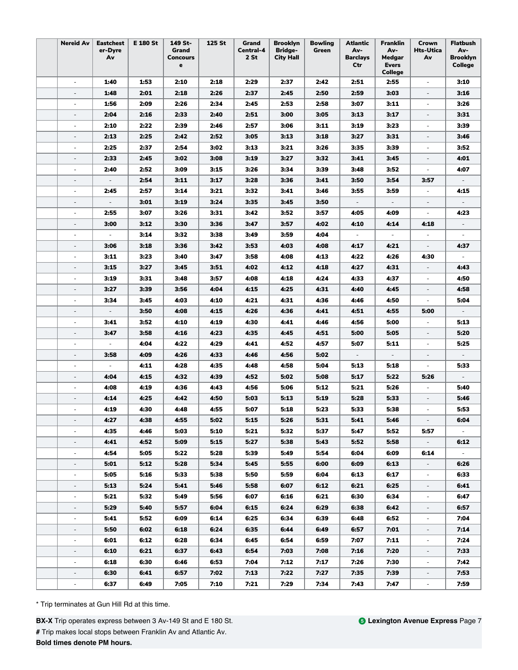| <b>Nereid Av</b>         | <b>Eastchest</b><br>er-Dyre<br>Av | E 180 St | 149 St-<br>Grand<br><b>Concours</b><br>e | 125 St | Grand<br>Central-4<br>2 St | <b>Brooklyn</b><br><b>Bridge-</b><br><b>City Hall</b> | <b>Bowling</b><br>Green | <b>Atlantic</b><br>Av-<br><b>Barclays</b><br>Ctr | <b>Franklin</b><br>Av-<br>Medgar<br><b>Evers</b><br>College | Crown<br>Hts-Utica<br>Av    | <b>Flatbush</b><br>Av-<br><b>Brooklyn</b><br>College |
|--------------------------|-----------------------------------|----------|------------------------------------------|--------|----------------------------|-------------------------------------------------------|-------------------------|--------------------------------------------------|-------------------------------------------------------------|-----------------------------|------------------------------------------------------|
| $\sim$                   | 1:40                              | 1:53     | 2:10                                     | 2:18   | 2:29                       | 2:37                                                  | 2:42                    | 2:51                                             | 2:55                                                        | $\overline{\phantom{a}}$    | 3:10                                                 |
|                          | 1:48                              | 2:01     | 2:18                                     | 2:26   | 2:37                       | 2:45                                                  | 2:50                    | 2:59                                             | 3:03                                                        |                             | 3:16                                                 |
| ÷,                       | 1:56                              | 2:09     | 2:26                                     | 2:34   | 2:45                       | 2:53                                                  | 2:58                    | 3:07                                             | 3:11                                                        | $\overline{\phantom{a}}$    | 3:26                                                 |
|                          | 2:04                              | 2:16     | 2:33                                     | 2:40   | 2:51                       | 3:00                                                  | 3:05                    | 3:13                                             | 3:17                                                        |                             | 3:31                                                 |
| $\overline{\phantom{a}}$ | 2:10                              | 2:22     | 2:39                                     | 2:46   | 2:57                       | 3:06                                                  | 3:11                    | 3:19                                             | 3:23                                                        | $\overline{\phantom{a}}$    | 3:39                                                 |
| $\overline{\phantom{a}}$ | 2:13                              | 2:25     | 2:42                                     | 2:52   | 3:05                       | 3:13                                                  | 3:18                    | 3:27                                             | 3:31                                                        | $\overline{\phantom{a}}$    | 3:46                                                 |
| $\overline{\phantom{a}}$ | 2:25                              | 2:37     | 2:54                                     | 3:02   | 3:13                       | 3:21                                                  | 3:26                    | 3:35                                             | 3:39                                                        | $\overline{\phantom{a}}$    | 3:52                                                 |
| $\overline{\phantom{a}}$ | 2:33                              | 2:45     | 3:02                                     | 3:08   | 3:19                       | 3:27                                                  | 3:32                    | 3:41                                             | 3:45                                                        | $\overline{\phantom{a}}$    | 4:01                                                 |
| $\sim$                   | 2:40                              | 2:52     | 3:09                                     | 3:15   | 3:26                       | 3:34                                                  | 3:39                    | 3:48                                             | 3:52                                                        | $\overline{\phantom{a}}$    | 4:07                                                 |
| ÷,                       | $\overline{\phantom{a}}$          | 2:54     | 3:11                                     | 3:17   | 3:28                       | 3:36                                                  | 3:41                    | 3:50                                             | 3:54                                                        | 3:57                        |                                                      |
| $\overline{\phantom{a}}$ | 2:45                              | 2:57     | 3:14                                     | 3:21   | 3:32                       | 3:41                                                  | 3:46                    | 3:55                                             | 3:59                                                        | $\overline{\phantom{a}}$    | 4:15                                                 |
| $\overline{\phantom{a}}$ | $\overline{\phantom{a}}$          | 3:01     | 3:19                                     | 3:24   | 3:35                       | 3:45                                                  | 3:50                    | $\overline{\phantom{a}}$                         | $\overline{\phantom{a}}$                                    | $\overline{\phantom{a}}$    | $\overline{\phantom{a}}$                             |
| $\overline{\phantom{a}}$ | 2:55                              | 3:07     | 3:26                                     | 3:31   | 3:42                       | 3:52                                                  | 3:57                    | 4:05                                             | 4:09                                                        | $\overline{\phantom{a}}$    | 4:23                                                 |
| $\overline{\phantom{a}}$ | 3:00                              | 3:12     | 3:30                                     | 3:36   | 3:47                       | 3:57                                                  | 4:02                    | 4:10                                             | 4:14                                                        | 4:18                        |                                                      |
| ÷,                       | $\overline{\phantom{a}}$          | 3:14     | 3:32                                     | 3:38   | 3:49                       | 3:59                                                  | 4:04                    |                                                  |                                                             |                             |                                                      |
| $\overline{\phantom{a}}$ | 3:06                              | 3:18     | 3:36                                     | 3:42   | 3:53                       | 4:03                                                  | 4:08                    | 4:17                                             | 4:21                                                        | $\overline{\phantom{a}}$    | 4:37                                                 |
| $\overline{a}$           | 3:11                              | 3:23     | 3:40                                     | 3:47   | 3:58                       | 4:08                                                  | 4:13                    | 4:22                                             | 4:26                                                        | 4:30                        |                                                      |
| $\overline{\phantom{a}}$ | 3:15                              | 3:27     | 3:45                                     | 3:51   | 4:02                       | 4:12                                                  | 4:18                    | 4:27                                             | 4:31                                                        | $\overline{\phantom{a}}$    | 4:43                                                 |
| $\overline{\phantom{a}}$ | 3:19                              | 3:31     | 3:48                                     | 3:57   | 4:08                       | 4:18                                                  | 4:24                    | 4:33                                             | 4:37                                                        | $\overline{\phantom{a}}$    | 4:50                                                 |
| $\overline{\phantom{a}}$ | 3:27                              | 3:39     | 3:56                                     | 4:04   | 4:15                       | 4:25                                                  | 4:31                    | 4:40                                             | 4:45                                                        | $\overline{\phantom{a}}$    | 4:58                                                 |
| $\sim$                   | 3:34                              | 3:45     | 4:03                                     | 4:10   | 4:21                       | 4:31                                                  | 4:36                    | 4:46                                             | 4:50                                                        | $\mathcal{L}_{\mathcal{A}}$ | 5:04                                                 |
| $\overline{\phantom{a}}$ | $\overline{\phantom{a}}$          | 3:50     | 4:08                                     | 4:15   | 4:26                       | 4:36                                                  | 4:41                    | 4:51                                             | 4:55                                                        | 5:00                        |                                                      |
| $\overline{a}$           | 3:41                              | 3:52     | 4:10                                     | 4:19   | 4:30                       | 4:41                                                  | 4:46                    | 4:56                                             | 5:00                                                        | $\sim$                      | 5:13                                                 |
| $\overline{a}$           | 3:47                              | 3:58     | 4:16                                     | 4:23   | 4:35                       | 4:45                                                  | 4:51                    | 5:00                                             | 5:05                                                        |                             | 5:20                                                 |
| $\overline{\phantom{a}}$ | $\overline{\phantom{a}}$          | 4:04     | 4:22                                     | 4:29   | 4:41                       | 4:52                                                  | 4:57                    | 5:07                                             | 5:11                                                        | $\overline{\phantom{a}}$    | 5:25                                                 |
| $\overline{\phantom{a}}$ | 3:58                              | 4:09     | 4:26                                     | 4:33   | 4:46                       | 4:56                                                  | 5:02                    | $\overline{\phantom{a}}$                         | $\overline{\phantom{a}}$                                    | $\overline{\phantom{a}}$    | $\overline{\phantom{a}}$                             |
| $\sim$                   | $\overline{\phantom{a}}$          | 4:11     | 4:28                                     | 4:35   | 4:48                       | 4:58                                                  | 5:04                    | 5:13                                             | 5:18                                                        | $\overline{\phantom{a}}$    | 5:33                                                 |
| $\overline{\phantom{a}}$ | 4:04                              | 4:15     | 4:32                                     | 4:39   | 4:52                       | 5:02                                                  | 5:08                    | 5:17                                             | 5:22                                                        | 5:26                        |                                                      |
| $\overline{\phantom{a}}$ | 4:08                              | 4:19     | 4:36                                     | 4:43   | 4:56                       | 5:06                                                  | 5:12                    | 5:21                                             | 5:26                                                        |                             | 5:40                                                 |
|                          | 4:14                              | 4:25     | 4:42                                     | 4:50   | 5:03                       | 5:13                                                  | 5:19                    | 5:28                                             | 5:33                                                        |                             | 5:46                                                 |
|                          | 4:19                              | 4:30     | 4:48                                     | 4:55   | 5:07                       | 5:18                                                  | 5:23                    | 5:33                                             | 5:38                                                        |                             | 5:53                                                 |
| $\overline{\phantom{a}}$ | 4:27                              | 4:38     | 4:55                                     | 5:02   | 5:15                       | 5:26                                                  | 5:31                    | 5:41                                             | 5:46                                                        | $\sim$                      | 6:04                                                 |
| $\sim$                   | 4:35                              | 4:46     | 5:03                                     | 5:10   | 5:21                       | 5:32                                                  | 5:37                    | 5:47                                             | 5:52                                                        | 5:57                        |                                                      |
| $\overline{\phantom{a}}$ | 4:41                              | 4:52     | 5:09                                     | 5:15   | 5:27                       | 5:38                                                  | 5:43                    | 5:52                                             | 5:58                                                        | $\sim$                      | 6:12                                                 |
|                          | 4:54                              | 5:05     | 5:22                                     | 5:28   | 5:39                       | 5:49                                                  | 5:54                    | 6:04                                             | 6:09                                                        | 6:14                        |                                                      |
| $\blacksquare$           | 5:01                              | 5:12     | 5:28                                     | 5:34   | 5:45                       | 5:55                                                  | 6:00                    | 6:09                                             | 6:13                                                        |                             | 6:26                                                 |
| ÷,                       | 5:05                              | 5:16     | 5:33                                     | 5:38   | 5:50                       | 5:59                                                  | 6:04                    | 6:13                                             | 6:17                                                        | $\overline{\phantom{a}}$    | 6:33                                                 |
| $\overline{\phantom{a}}$ | 5:13                              | 5:24     | 5:41                                     | 5:46   | 5:58                       | 6:07                                                  | 6:12                    | 6:21                                             | 6:25                                                        | $\overline{\phantom{a}}$    | 6:41                                                 |
| $\overline{\phantom{a}}$ | 5:21                              | 5:32     | 5:49                                     | 5:56   | 6:07                       | 6:16                                                  | 6:21                    | 6:30                                             | 6:34                                                        | $\overline{\phantom{a}}$    | 6:47                                                 |
| $\overline{\phantom{a}}$ | 5:29                              | 5:40     | 5:57                                     | 6:04   | 6:15                       | 6:24                                                  | 6:29                    | 6:38                                             | 6:42                                                        | $\overline{\phantom{a}}$    | 6:57                                                 |
| $\sim$                   | 5:41                              | 5:52     | 6:09                                     | 6:14   | 6:25                       | 6:34                                                  | 6:39                    | 6:48                                             | 6:52                                                        | $\overline{\phantom{a}}$    | 7:04                                                 |
| $\overline{\phantom{a}}$ | 5:50                              | 6:02     | 6:18                                     | 6:24   | 6:35                       | 6:44                                                  | 6:49                    | 6:57                                             | 7:01                                                        | $\overline{\phantom{a}}$    | 7:14                                                 |
| $\overline{\phantom{a}}$ | 6:01                              | 6:12     | 6:28                                     | 6:34   | 6:45                       | 6:54                                                  | 6:59                    | 7:07                                             | 7:11                                                        |                             | 7:24                                                 |
| $\overline{a}$           | 6:10                              | 6:21     | 6:37                                     | 6:43   | 6:54                       | 7:03                                                  | 7:08                    | 7:16                                             | 7:20                                                        | $\overline{\phantom{a}}$    | 7:33                                                 |
| $\overline{\phantom{a}}$ | 6:18                              | 6:30     | 6:46                                     | 6:53   | 7:04                       | 7:12                                                  | 7:17                    | 7:26                                             | 7:30                                                        | $\overline{\phantom{a}}$    | 7:42                                                 |
| $\overline{\phantom{a}}$ | 6:30                              | 6:41     | 6:57                                     | 7:02   | 7:13                       | 7:22                                                  | 7:27                    | 7:35                                             | 7:39                                                        | $\overline{\phantom{a}}$    | 7:53                                                 |
| $\overline{\phantom{a}}$ | 6:37                              | 6:49     | 7:05                                     | 7:10   | 7:21                       | 7:29                                                  | 7:34                    | 7:43                                             | 7:47                                                        | $\overline{\phantom{a}}$    | 7:59                                                 |
|                          |                                   |          |                                          |        |                            |                                                       |                         |                                                  |                                                             |                             |                                                      |

**BX-X** Trip operates express between 3 Av-149 St and E 180 St.

**#** Trip makes local stops between Franklin Av and Atlantic Av.

**Bold times denote PM hours.**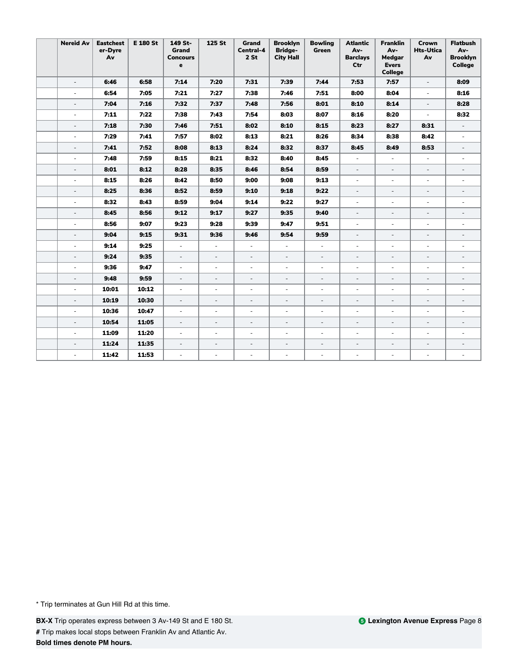| <b>Nereid Av</b>         | <b>Eastchest</b><br>er-Dyre<br>Av | <b>E 180 St</b> | 149 St-<br>Grand<br><b>Concours</b><br>e | 125 St                   | <b>Grand</b><br>Central-4<br>$2$ St | <b>Brooklyn</b><br><b>Bridge-</b><br><b>City Hall</b> | <b>Bowling</b><br>Green  | <b>Atlantic</b><br>Av-<br><b>Barclays</b><br>Ctr | <b>Franklin</b><br>Av-<br>Medgar<br><b>Evers</b><br><b>College</b> | Crown<br><b>Hts-Utica</b><br>Av | <b>Flatbush</b><br>Av-<br><b>Brooklyn</b><br><b>College</b> |
|--------------------------|-----------------------------------|-----------------|------------------------------------------|--------------------------|-------------------------------------|-------------------------------------------------------|--------------------------|--------------------------------------------------|--------------------------------------------------------------------|---------------------------------|-------------------------------------------------------------|
| $\overline{\phantom{a}}$ | 6:46                              | 6:58            | 7:14                                     | 7:20                     | 7:31                                | 7:39                                                  | 7:44                     | 7:53                                             | 7:57                                                               | $\overline{\phantom{a}}$        | 8:09                                                        |
| $\sim$                   | 6:54                              | 7:05            | 7:21                                     | 7:27                     | 7:38                                | 7:46                                                  | 7:51                     | 8:00                                             | 8:04                                                               | $\bar{a}$                       | 8:16                                                        |
| $\overline{\phantom{a}}$ | 7:04                              | 7:16            | 7:32                                     | 7:37                     | 7:48                                | 7:56                                                  | 8:01                     | 8:10                                             | 8:14                                                               | $\overline{\phantom{a}}$        | 8:28                                                        |
| $\overline{\phantom{a}}$ | 7:11                              | 7:22            | 7:38                                     | 7:43                     | 7:54                                | 8:03                                                  | 8:07                     | 8:16                                             | 8:20                                                               | $\mathcal{L}_{\mathcal{A}}$     | 8:32                                                        |
| $\overline{\phantom{a}}$ | 7:18                              | 7:30            | 7:46                                     | 7:51                     | 8:02                                | 8:10                                                  | 8:15                     | 8:23                                             | 8:27                                                               | 8:31                            | $\overline{\phantom{a}}$                                    |
| $\overline{\phantom{a}}$ | 7:29                              | 7:41            | 7:57                                     | 8:02                     | 8:13                                | 8:21                                                  | 8:26                     | 8:34                                             | 8:38                                                               | 8:42                            | $\overline{\phantom{a}}$                                    |
| $\overline{\phantom{a}}$ | 7:41                              | 7:52            | 8:08                                     | 8:13                     | 8:24                                | 8:32                                                  | 8:37                     | 8:45                                             | 8:49                                                               | 8:53                            | $\overline{\phantom{a}}$                                    |
| $\overline{\phantom{a}}$ | 7:48                              | 7:59            | 8:15                                     | 8:21                     | 8:32                                | 8:40                                                  | 8:45                     | $\overline{\phantom{a}}$                         | $\blacksquare$                                                     | $\overline{\phantom{a}}$        | $\overline{\phantom{a}}$                                    |
| $\blacksquare$           | 8:01                              | 8:12            | 8:28                                     | 8:35                     | 8:46                                | 8:54                                                  | 8:59                     | $\blacksquare$                                   | $\overline{\phantom{a}}$                                           | $\overline{\phantom{a}}$        | $\overline{\phantom{a}}$                                    |
| ÷                        | 8:15                              | 8:26            | 8:42                                     | 8:50                     | 9:00                                | 9:08                                                  | 9:13                     | ÷                                                | ÷                                                                  | ÷.                              | a.                                                          |
| $\overline{\phantom{a}}$ | 8:25                              | 8:36            | 8:52                                     | 8:59                     | 9:10                                | 9:18                                                  | 9:22                     | $\overline{\phantom{a}}$                         | $\overline{\phantom{a}}$                                           | $\overline{\phantom{a}}$        | $\overline{\phantom{a}}$                                    |
| ÷                        | 8:32                              | 8:43            | 8:59                                     | 9:04                     | 9:14                                | 9:22                                                  | 9:27                     | $\sim$                                           | ٠                                                                  | $\sim$                          | ٠                                                           |
| $\overline{\phantom{a}}$ | 8:45                              | 8:56            | 9:12                                     | 9:17                     | 9:27                                | 9:35                                                  | 9:40                     | $\overline{\phantom{a}}$                         | $\overline{\phantom{a}}$                                           | $\overline{\phantom{a}}$        | $\overline{\phantom{a}}$                                    |
| $\overline{\phantom{a}}$ | 8:56                              | 9:07            | 9:23                                     | 9:28                     | 9:39                                | 9:47                                                  | 9:51                     | $\overline{\phantom{a}}$                         | ÷,                                                                 | $\sim$                          |                                                             |
| ÷,                       | 9:04                              | 9:15            | 9:31                                     | 9:36                     | 9:46                                | 9:54                                                  | 9:59                     | $\bar{a}$                                        | $\overline{\phantom{a}}$                                           | $\overline{\phantom{a}}$        | $\overline{\phantom{a}}$                                    |
| $\overline{\phantom{a}}$ | 9:14                              | 9:25            | $\overline{\phantom{a}}$                 | $\overline{\phantom{a}}$ | $\overline{\phantom{a}}$            | ÷,                                                    | $\overline{\phantom{a}}$ | $\overline{\phantom{a}}$                         | $\overline{a}$                                                     | $\sim$                          | ÷,                                                          |
| ÷,                       | 9:24                              | 9:35            | $\overline{\phantom{a}}$                 | $\overline{\phantom{a}}$ | $\overline{\phantom{a}}$            | $\frac{1}{2}$                                         | $\overline{\phantom{a}}$ | $\overline{\phantom{a}}$                         | $\overline{a}$                                                     | $\overline{\phantom{a}}$        | $\overline{a}$                                              |
| ä,                       | 9:36                              | 9:47            | ÷,                                       | $\overline{\phantom{a}}$ | $\overline{\phantom{a}}$            | ÷,                                                    | $\overline{\phantom{a}}$ | $\overline{\phantom{a}}$                         | ÷                                                                  | $\overline{\phantom{a}}$        | $\overline{\phantom{a}}$                                    |
| L,                       | 9:48                              | 9:59            | $\frac{1}{2}$                            | $\overline{\phantom{a}}$ | $\overline{\phantom{a}}$            | $\frac{1}{2}$                                         | $\overline{\phantom{a}}$ | $\overline{\phantom{a}}$                         | ÷,                                                                 | $\overline{\phantom{a}}$        | $\overline{\phantom{0}}$                                    |
| $\overline{\phantom{a}}$ | 10:01                             | 10:12           | $\overline{\phantom{a}}$                 | $\overline{\phantom{a}}$ | $\overline{\phantom{a}}$            | $\sim$                                                | $\overline{\phantom{a}}$ | $\overline{\phantom{a}}$                         | $\overline{\phantom{a}}$                                           | $\overline{\phantom{a}}$        | $\overline{\phantom{a}}$                                    |
| ÷,                       | 10:19                             | 10:30           | $\overline{a}$                           | $\overline{\phantom{a}}$ | $\overline{\phantom{a}}$            | $\overline{\phantom{a}}$                              | $\overline{\phantom{a}}$ | $\overline{\phantom{a}}$                         | $\overline{\phantom{a}}$                                           | $\overline{\phantom{a}}$        | $\overline{\phantom{a}}$                                    |
| ÷.                       | 10:36                             | 10:47           | $\overline{\phantom{a}}$                 | $\overline{\phantom{a}}$ | $\overline{\phantom{a}}$            | ÷,                                                    | $\overline{\phantom{a}}$ | $\overline{\phantom{a}}$                         | $\overline{\phantom{a}}$                                           | $\overline{\phantom{a}}$        | $\sim$                                                      |
| $\overline{a}$           | 10:54                             | 11:05           | $\bar{a}$                                | $\overline{\phantom{a}}$ | $\sim$                              | ÷,                                                    | $\overline{\phantom{a}}$ | $\overline{\phantom{a}}$                         | $\bar{a}$                                                          | $\overline{\phantom{a}}$        | $\overline{a}$                                              |
| $\overline{a}$           | 11:09                             | 11:20           | $\omega$                                 | $\overline{\phantom{a}}$ | $\overline{\phantom{a}}$            | $\overline{\phantom{a}}$                              | $\overline{\phantom{a}}$ | $\overline{\phantom{a}}$                         | $\overline{\phantom{a}}$                                           | $\sim$                          | $\sim$                                                      |
| ÷,                       | 11:24                             | 11:35           | $\overline{\phantom{a}}$                 | $\overline{\phantom{a}}$ | $\overline{\phantom{a}}$            | $\overline{a}$                                        | $\overline{\phantom{a}}$ | $\overline{\phantom{a}}$                         | $\overline{\phantom{a}}$                                           | $\overline{\phantom{a}}$        | $\overline{\phantom{a}}$                                    |
|                          | 11:42                             | 11:53           | ÷,                                       | $\sim$                   | ä,                                  | ä,                                                    | $\sim$                   | $\overline{\phantom{a}}$                         | $\overline{\phantom{a}}$                                           | $\sim$                          | $\overline{\phantom{a}}$                                    |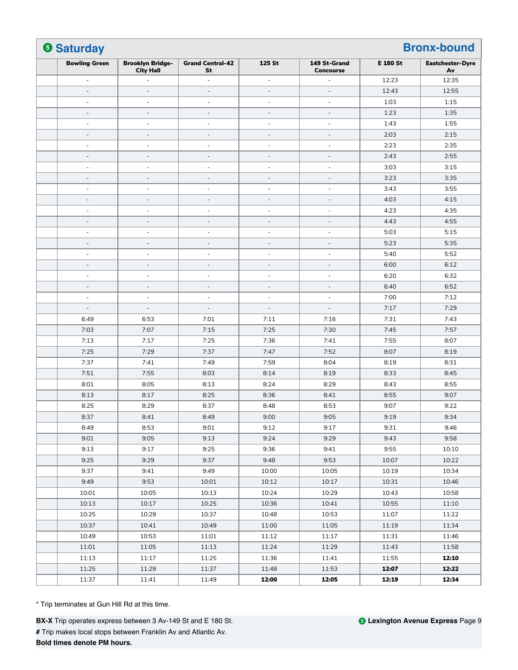| <b>6 Saturday</b>        |                                             |                               |                          |                                  |                 |                               |
|--------------------------|---------------------------------------------|-------------------------------|--------------------------|----------------------------------|-----------------|-------------------------------|
| <b>Bowling Green</b>     | <b>Brooklyn Bridge-</b><br><b>City Hall</b> | <b>Grand Central-42</b><br>St | 125 St                   | 149 St-Grand<br><b>Concourse</b> | <b>E 180 St</b> | <b>Eastchester-Dyre</b><br>Av |
| $\overline{\phantom{a}}$ |                                             | L,                            | ä,                       | ÷,                               | 12:23           | 12:35                         |
| $\sim$                   | $\overline{a}$                              | $\overline{a}$                | $\overline{\phantom{a}}$ | $\overline{\phantom{a}}$         | 12:43           | 12:55                         |
| $\overline{a}$           | $\overline{a}$                              | ÷,                            | $\overline{\phantom{a}}$ | $\overline{\phantom{a}}$         | 1:03            | 1:15                          |
| $\overline{\phantom{a}}$ | $\overline{\phantom{a}}$                    | $\overline{a}$                | $\overline{\phantom{a}}$ | $\overline{\phantom{a}}$         | 1:23            | 1:35                          |
| $\overline{\phantom{a}}$ | $\sim$                                      | ä,                            | ä,                       | $\sim$                           | 1:43            | 1:55                          |
| $\overline{a}$           |                                             | L,                            | $\qquad \qquad -$        | $\overline{a}$                   | 2:03            | 2:15                          |
| $\sim$                   | $\sim$                                      | ä,                            | ÷,                       | $\sim$                           | 2:23            | 2:35                          |
| $\overline{\phantom{a}}$ | $\bar{ }$                                   | $\overline{a}$                | $\qquad \qquad -$        | $\overline{\phantom{a}}$         | 2:43            | 2:55                          |
| $\sim$                   | ÷.                                          | ÷.                            | $\overline{\phantom{a}}$ | $\sim$                           | 3:03            | 3:15                          |
| $\overline{a}$           |                                             |                               | $\qquad \qquad -$        | $\overline{a}$                   | 3:23            | 3:35                          |
| $\overline{\phantom{m}}$ | $\overline{\phantom{a}}$                    | $\qquad \qquad \blacksquare$  | $\overline{\phantom{a}}$ | $\overline{\phantom{a}}$         | 3:43            | 3:55                          |
| $\overline{\phantom{a}}$ | $\overline{\phantom{a}}$                    | $\overline{a}$                | $\overline{\phantom{a}}$ | $\overline{\phantom{a}}$         | 4:03            | 4:15                          |
| ÷,                       | ÷                                           | ä,                            | $\overline{\phantom{a}}$ | $\sim$                           | 4:23            | 4:35                          |
| $\overline{\phantom{a}}$ |                                             | $\overline{a}$                | $\qquad \qquad -$        | $\sim$                           | 4:43            | 4:55                          |
| $\overline{\phantom{a}}$ | $\overline{a}$                              | ÷                             | $\overline{\phantom{m}}$ | $\overline{\phantom{a}}$         | 5:03            | 5:15                          |
| $\overline{\phantom{a}}$ | $\overline{\phantom{a}}$                    | L,                            | $\overline{\phantom{a}}$ | $\sim$                           | 5:23            | 5:35                          |
| ÷,                       | $\overline{\phantom{a}}$                    | ä,                            | ÷,                       | $\sim$                           | 5:40            | 5:52                          |
| $\overline{\phantom{a}}$ | $\overline{\phantom{a}}$                    | $\qquad \qquad -$             | $\overline{\phantom{a}}$ | $\overline{\phantom{a}}$         | 6:00            | 6:12                          |
| $\overline{\phantom{a}}$ | $\overline{\phantom{a}}$                    | ÷,                            | $\overline{\phantom{a}}$ | $\overline{\phantom{a}}$         | 6:20            | 6:32                          |
| $\sim$                   | $\sim$                                      | $\overline{a}$                | $\overline{\phantom{a}}$ | $\sim$                           | 6:40            | 6:52                          |
| $\overline{\phantom{a}}$ | $\overline{\phantom{a}}$                    | ä,                            | $\overline{\phantom{a}}$ | $\sim$                           | 7:00            | 7:12                          |
| $\overline{\phantom{a}}$ | $\overline{\phantom{a}}$                    | $\overline{a}$                | $\overline{\phantom{a}}$ | $\overline{a}$                   | 7:17            | 7:29                          |
| 6:49                     | 6:53                                        | 7:01                          | 7:11                     | 7:16                             | 7:31            | 7:43                          |
| 7:03                     | 7:07                                        | 7:15                          | 7:25                     | 7:30                             | 7:45            | 7:57                          |
| 7:13                     | 7:17                                        | 7:25                          | 7:36                     | 7:41                             | 7:55            | 8:07                          |
| 7:25                     | 7:29                                        | 7:37                          | 7:47                     | 7:52                             | 8:07            | 8:19                          |
| 7:37                     | 7:41                                        | 7:49                          | 7:59                     | 8:04                             | 8:19            | 8:31                          |
| 7:51                     | 7:55                                        | 8:03                          | 8:14                     | 8:19                             | 8:33            | 8:45                          |
| 8:01                     | 8:05                                        | 8:13                          | 8:24                     | 8:29                             | 8:43            | 8:55                          |
| 8:13                     | 8:17                                        | 8:25                          | 8:36                     | 8:41                             | 8:55            | 9:07                          |
| 8:25                     | 8:29                                        | 8:37                          | 8:48                     | 8:53                             | 9:07            | 9:22                          |
| 8:37                     | 8:41                                        | 8:49                          | 9:00                     | 9:05                             | 9:19            | 9:34                          |
| 8:49                     | 8:53                                        | 9:01                          | 9:12                     | 9:17                             | 9:31            | 9:46                          |
| 9:01                     | 9:05                                        | 9:13                          | 9:24                     | 9:29                             | 9:43            | 9:58                          |
| 9:13                     | 9:17                                        | 9:25                          | 9:36                     | 9:41                             | 9:55            | 10:10                         |
| 9:25                     | 9:29                                        | 9:37                          | 9:48                     | 9:53                             | 10:07           | 10:22                         |
| 9:37                     | 9:41                                        | 9:49                          | 10:00                    | 10:05                            | 10:19           | 10:34                         |
| 9:49                     | 9:53                                        | 10:01                         | 10:12                    | 10:17                            | 10:31           | 10:46                         |
| 10:01                    | 10:05                                       | 10:13                         | 10:24                    | 10:29                            | 10:43           | 10:58                         |
| 10:13                    | 10:17                                       | 10:25                         | 10:36                    | 10:41                            | 10:55           | 11:10                         |
| 10:25                    | 10:29                                       | 10:37                         | 10:48                    | 10:53                            | 11:07           | 11:22                         |
| 10:37                    | 10:41                                       | 10:49                         | 11:00                    | 11:05                            | 11:19           | 11:34                         |
| 10:49                    | 10:53                                       | 11:01                         | 11:12                    | 11:17                            | 11:31           | 11:46                         |
| 11:01                    | 11:05                                       | 11:13                         | 11:24                    | 11:29                            | 11:43           | 11:58                         |
| 11:13                    | 11:17                                       | 11:25                         | 11:36                    | 11:41                            | 11:55           | 12:10                         |
| 11:25                    | 11:29                                       | 11:37                         | 11:48                    | 11:53                            | 12:07           | 12:22                         |
| 11:37                    | 11:41                                       | 11:49                         | 12:00                    | 12:05                            | 12:19           | 12:34                         |

**BX-X** Trip operates express between 3 Av-149 St and E 180 St. **#** Trip makes local stops between Franklin Av and Atlantic Av. **Bold times denote PM hours.**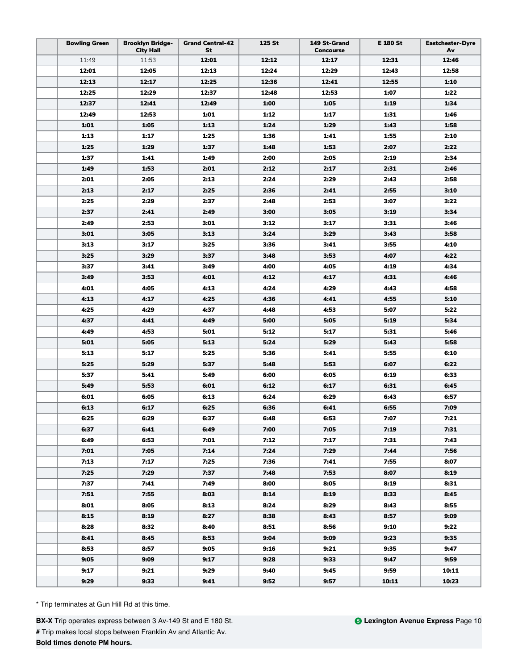| <b>Bowling Green</b> | <b>Brooklyn Bridge-</b><br><b>City Hall</b> | <b>Grand Central-42</b><br>St | 125 St | 149 St-Grand<br><b>Concourse</b> | E 180 St     | <b>Eastchester-Dyre</b><br>Av |
|----------------------|---------------------------------------------|-------------------------------|--------|----------------------------------|--------------|-------------------------------|
| 11:49                | 11:53                                       | 12:01                         | 12:12  | 12:17                            | 12:31        | 12:46                         |
| 12:01                | 12:05                                       | 12:13                         | 12:24  | 12:29                            | 12:43        | 12:58                         |
| 12:13                | 12:17                                       | 12:25                         | 12:36  | 12:41                            | 12:55        | 1:10                          |
| 12:25                | 12:29                                       | 12:37                         | 12:48  | 12:53                            | 1:07         | 1:22                          |
| 12:37                | 12:41                                       | 12:49                         | 1:00   | 1:05                             | 1:19         | 1:34                          |
| 12:49                | 12:53                                       | 1:01                          | 1:12   | 1:17                             | 1:31         | 1:46                          |
| 1:01                 | 1:05                                        | 1:13                          | 1:24   | 1:29                             | 1:43         | 1:58                          |
| 1:13                 | 1:17                                        | 1:25                          | 1:36   | 1:41                             | 1:55         | 2:10                          |
| 1:25                 | 1:29                                        | 1:37                          | 1:48   | 1:53                             | 2:07         | 2:22                          |
| 1:37                 | 1:41                                        | 1:49                          | 2:00   | 2:05                             | 2:19         | 2:34                          |
| 1:49                 | 1:53                                        | 2:01                          | 2:12   | 2:17                             | 2:31         | 2:46                          |
| 2:01                 | 2:05                                        | 2:13                          | 2:24   | 2:29                             | 2:43         | 2:58                          |
| 2:13                 | 2:17                                        | 2:25                          | 2:36   | 2:41                             | 2:55         | 3:10                          |
| 2:25                 | 2:29                                        | 2:37                          | 2:48   | 2:53                             | 3:07         | 3:22                          |
| 2:37                 | 2:41                                        | 2:49                          | 3:00   | 3:05                             | 3:19         | 3:34                          |
| 2:49                 | 2:53                                        | 3:01                          | 3:12   | 3:17                             | 3:31         | 3:46                          |
| 3:01                 | 3:05                                        | 3:13                          | 3:24   | 3:29                             | 3:43         | 3:58                          |
| 3:13                 | 3:17                                        | 3:25                          | 3:36   | 3:41                             | 3:55         | 4:10                          |
| 3:25                 | 3:29                                        | 3:37                          | 3:48   | 3:53                             | 4:07         | 4:22                          |
| 3:37                 | 3:41                                        | 3:49                          | 4:00   | 4:05                             | 4:19         | 4:34                          |
| 3:49                 | 3:53                                        | 4:01                          | 4:12   | 4:17                             | 4:31         | 4:46                          |
| 4:01                 | 4:05                                        | 4:13                          | 4:24   | 4:29                             | 4:43         | 4:58                          |
| 4:13                 | 4:17                                        | 4:25                          | 4:36   | 4:41                             | 4:55         | 5:10                          |
| 4:25                 | 4:29                                        | 4:37                          | 4:48   | 4:53                             | 5:07         | 5:22                          |
| 4:37                 | 4:41                                        | 4:49                          | 5:00   | 5:05                             | 5:19         | 5:34                          |
| 4:49                 | 4:53                                        | 5:01                          | 5:12   | 5:17                             | 5:31         | 5:46                          |
| 5:01                 | 5:05                                        | 5:13                          | 5:24   | 5:29                             | 5:43         | 5:58                          |
| 5:13                 | 5:17                                        | 5:25                          | 5:36   | 5:41                             | 5:55         | 6:10                          |
| 5:25                 | 5:29                                        | 5:37                          | 5:48   | 5:53                             | 6:07         | 6:22                          |
| 5:37                 | 5:41                                        | 5:49                          | 6:00   | 6:05                             | 6:19         | 6:33                          |
| 5:49                 | 5:53                                        | 6:01                          | 6:12   | 6:17                             | 6:31         | 6:45                          |
| 6:01                 | 6:05                                        | 6:13                          | 6:24   | 6:29                             | 6:43         | 6:57                          |
| 6:13                 | 6:17                                        | 6:25                          | 6:36   | 6:41                             | 6:55         | 7:09                          |
|                      | 6:29                                        |                               | 6:48   |                                  |              |                               |
| 6:25<br>6:37         | 6:41                                        | 6:37<br>6:49                  | 7:00   | 6:53<br>7:05                     | 7:07<br>7:19 | 7:21<br>7:31                  |
| 6:49                 | 6:53                                        | 7:01                          | 7:12   | 7:17                             | 7:31         | 7:43                          |
| 7:01                 | 7:05                                        | 7:14                          | 7:24   | 7:29                             | 7:44         | 7:56                          |
| 7:13                 | 7:17                                        | 7:25                          | 7:36   | 7:41                             | 7:55         | 8:07                          |
| 7:25                 | 7:29                                        | 7:37                          | 7:48   | 7:53                             | 8:07         | 8:19                          |
| 7:37                 | 7:41                                        | 7:49                          | 8:00   | 8:05                             | 8:19         | 8:31                          |
| 7:51                 | 7:55                                        | 8:03                          | 8:14   | 8:19                             | 8:33         | 8:45                          |
|                      |                                             | 8:13                          | 8:24   | 8:29                             | 8:43         | 8:55                          |
| 8:01<br>8:15         | 8:05<br>8:19                                | 8:27                          | 8:38   | 8:43                             | 8:57         | 9:09                          |
| 8:28                 | 8:32                                        | 8:40                          | 8:51   | 8:56                             | 9:10         | 9:22                          |
| 8:41                 | 8:45                                        | 8:53                          | 9:04   | 9:09                             | 9:23         | 9:35                          |
|                      |                                             |                               |        |                                  |              |                               |
| 8:53                 | 8:57                                        | 9:05                          | 9:16   | 9:21                             | 9:35         | 9:47                          |
| 9:05                 | 9:09                                        | 9:17                          | 9:28   | 9:33                             | 9:47         | 9:59                          |
| 9:17                 | 9:21                                        | 9:29                          | 9:40   | 9:45                             | 9:59         | 10:11                         |
| 9:29                 | 9:33                                        | 9:41                          | 9:52   | 9:57                             | 10:11        | 10:23                         |

**BX-X** Trip operates express between 3 Av-149 St and E 180 St. **#** Trip makes local stops between Franklin Av and Atlantic Av. **Bold times denote PM hours.**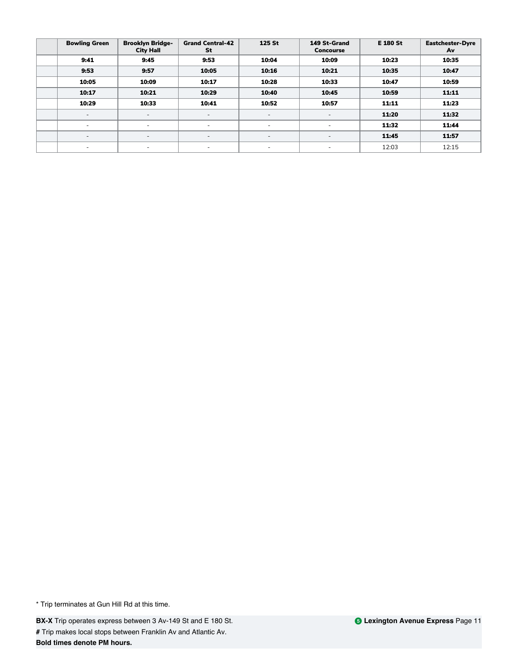| <b>Bowling Green</b>     | <b>Brooklyn Bridge-</b><br><b>City Hall</b> | <b>Grand Central-42</b><br>St | 125 St                   | 149 St-Grand<br>Concourse | <b>E 180 St</b> | <b>Eastchester-Dyre</b><br>Av |
|--------------------------|---------------------------------------------|-------------------------------|--------------------------|---------------------------|-----------------|-------------------------------|
| 9:41                     | 9:45                                        | 9:53                          | 10:04                    | 10:09                     | 10:23           | 10:35                         |
| 9:53                     | 9:57                                        | 10:05                         | 10:16                    | 10:21                     | 10:35           | 10:47                         |
| 10:05                    | 10:09                                       | 10:17                         | 10:28                    | 10:33                     | 10:47           | 10:59                         |
| 10:17                    | 10:21                                       | 10:29                         | 10:40                    | 10:45                     | 10:59           | 11:11                         |
| 10:29                    | 10:33                                       | 10:41                         | 10:52                    | 10:57                     | 11:11           | 11:23                         |
| $\overline{\phantom{a}}$ | $\overline{\phantom{a}}$                    | $\overline{\phantom{0}}$      | $\overline{\phantom{a}}$ | $\sim$                    | 11:20           | 11:32                         |
| ٠                        | ۰                                           | ٠                             | $\overline{\phantom{a}}$ | $\overline{\phantom{a}}$  | 11:32           | 11:44                         |
| $\overline{\phantom{0}}$ | $\sim$                                      | $\overline{\phantom{0}}$      | $\overline{\phantom{a}}$ | $\overline{\phantom{a}}$  | 11:45           | 11:57                         |
| -                        | ۰                                           | ۰                             | $\overline{\phantom{a}}$ | -                         | 12:03           | 12:15                         |

**BX-X** Trip operates express between 3 Av-149 St and E 180 St. **#** Trip makes local stops between Franklin Av and Atlantic Av. **Bold times denote PM hours.**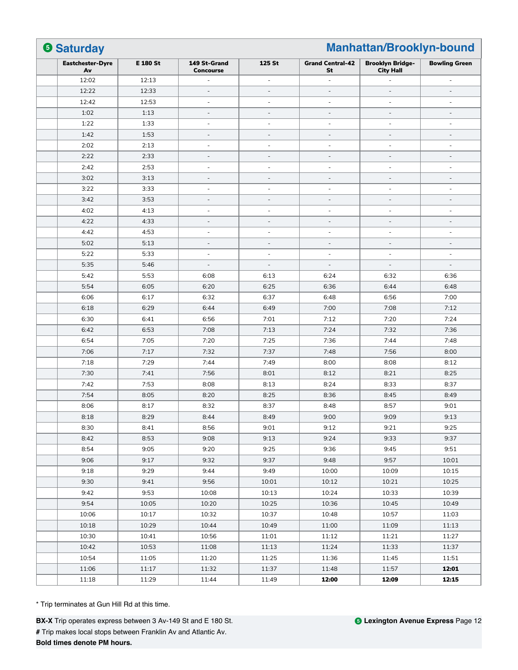| <b>Eastchester-Dyre</b><br><b>E 180 St</b><br>Av<br>12:02<br>12:13<br>12:22<br>12:33<br>12:42<br>12:53<br>1:02<br>1:13<br>1:22<br>1:33<br>1:42<br>1:53<br>2:02<br>2:13<br>2:22<br>2:33<br>2:42<br>2:53<br>3:02<br>3:13<br>3:22<br>3:33<br>3:42<br>3:53<br>4:02<br>4:13<br>4:22<br>4:33<br>4:42<br>4:53<br>5:02<br>5:13<br>5:22<br>5:33<br>5:35<br>5:46<br>5:42<br>5:53<br>5:54<br>6:05<br>6:06<br>6:17 | 149 St-Grand<br><b>Concourse</b><br>ä,<br>$\overline{a}$<br>ä,<br>$\overline{\phantom{a}}$<br>$\overline{\phantom{a}}$<br>$\overline{\phantom{a}}$ | 125 St<br>$\sim$<br>$\sim$<br>$\overline{\phantom{a}}$<br>$\overline{\phantom{a}}$ | <b>Grand Central-42</b><br>St<br>$\overline{a}$<br>L, | <b>Brooklyn Bridge-</b><br><b>City Hall</b> | <b>Bowling Green</b><br>$\sim$ |
|--------------------------------------------------------------------------------------------------------------------------------------------------------------------------------------------------------------------------------------------------------------------------------------------------------------------------------------------------------------------------------------------------------|----------------------------------------------------------------------------------------------------------------------------------------------------|------------------------------------------------------------------------------------|-------------------------------------------------------|---------------------------------------------|--------------------------------|
|                                                                                                                                                                                                                                                                                                                                                                                                        |                                                                                                                                                    |                                                                                    |                                                       |                                             |                                |
|                                                                                                                                                                                                                                                                                                                                                                                                        |                                                                                                                                                    |                                                                                    |                                                       |                                             |                                |
|                                                                                                                                                                                                                                                                                                                                                                                                        |                                                                                                                                                    |                                                                                    |                                                       |                                             |                                |
|                                                                                                                                                                                                                                                                                                                                                                                                        |                                                                                                                                                    |                                                                                    | $\overline{\phantom{a}}$                              | ä,                                          | $\sim$                         |
|                                                                                                                                                                                                                                                                                                                                                                                                        |                                                                                                                                                    |                                                                                    | $\overline{\phantom{a}}$                              | $\overline{\phantom{a}}$                    | $\overline{\phantom{a}}$       |
|                                                                                                                                                                                                                                                                                                                                                                                                        |                                                                                                                                                    |                                                                                    | $\overline{a}$                                        | $\overline{\phantom{0}}$                    | $\overline{\phantom{a}}$       |
|                                                                                                                                                                                                                                                                                                                                                                                                        |                                                                                                                                                    | $\overline{\phantom{a}}$                                                           | $\overline{a}$                                        | ÷                                           | ÷                              |
|                                                                                                                                                                                                                                                                                                                                                                                                        | $\overline{\phantom{a}}$                                                                                                                           | $\overline{\phantom{a}}$                                                           | $\overline{\phantom{a}}$                              | $\overline{\phantom{a}}$                    | $\overline{\phantom{a}}$       |
|                                                                                                                                                                                                                                                                                                                                                                                                        | $\overline{\phantom{a}}$                                                                                                                           | $\overline{\phantom{a}}$                                                           | L,                                                    | ÷,                                          | $\overline{a}$                 |
|                                                                                                                                                                                                                                                                                                                                                                                                        | ä,                                                                                                                                                 |                                                                                    | L,                                                    | ÷                                           | ÷,                             |
|                                                                                                                                                                                                                                                                                                                                                                                                        | ÷                                                                                                                                                  | $\overline{\phantom{a}}$                                                           | $\overline{a}$                                        | ÷                                           | $\overline{\phantom{a}}$       |
|                                                                                                                                                                                                                                                                                                                                                                                                        | $\overline{\phantom{a}}$                                                                                                                           | $\overline{\phantom{a}}$                                                           | ÷,                                                    | ÷                                           | $\overline{\phantom{a}}$       |
|                                                                                                                                                                                                                                                                                                                                                                                                        | $\overline{\phantom{a}}$                                                                                                                           | $\overline{\phantom{a}}$                                                           | $\overline{\phantom{a}}$                              | $\sim$                                      | $\overline{\phantom{a}}$       |
|                                                                                                                                                                                                                                                                                                                                                                                                        | $\overline{\phantom{a}}$                                                                                                                           | $\overline{\phantom{a}}$                                                           | $\overline{a}$                                        | $\overline{\phantom{0}}$                    | $\overline{\phantom{a}}$       |
|                                                                                                                                                                                                                                                                                                                                                                                                        | $\overline{\phantom{a}}$                                                                                                                           | $\overline{\phantom{a}}$                                                           | $\overline{\phantom{a}}$                              | $\overline{\phantom{a}}$                    | $\overline{\phantom{a}}$       |
|                                                                                                                                                                                                                                                                                                                                                                                                        | $\overline{\phantom{a}}$                                                                                                                           | $\sim$                                                                             | ÷,                                                    | ÷                                           | $\overline{\phantom{a}}$       |
|                                                                                                                                                                                                                                                                                                                                                                                                        | $\overline{\phantom{a}}$                                                                                                                           | $\sim$                                                                             | $\overline{a}$                                        | ÷.                                          | $\overline{\phantom{a}}$       |
|                                                                                                                                                                                                                                                                                                                                                                                                        | $\overline{\phantom{a}}$                                                                                                                           | $\overline{\phantom{a}}$                                                           | ÷,                                                    | ÷                                           | ÷,                             |
|                                                                                                                                                                                                                                                                                                                                                                                                        |                                                                                                                                                    |                                                                                    |                                                       |                                             |                                |
|                                                                                                                                                                                                                                                                                                                                                                                                        | $\overline{\phantom{a}}$                                                                                                                           | $\overline{\phantom{a}}$                                                           | $\overline{\phantom{a}}$                              | $\overline{\phantom{a}}$                    | $\overline{a}$                 |
|                                                                                                                                                                                                                                                                                                                                                                                                        | 6:08                                                                                                                                               | 6:13                                                                               | 6:24                                                  | 6:32                                        | 6:36                           |
|                                                                                                                                                                                                                                                                                                                                                                                                        | 6:20                                                                                                                                               | 6:25                                                                               | 6:36                                                  | 6:44                                        | 6:48                           |
|                                                                                                                                                                                                                                                                                                                                                                                                        | 6:32                                                                                                                                               | 6:37                                                                               | 6:48                                                  | 6:56                                        | 7:00                           |
| 6:18<br>6:29                                                                                                                                                                                                                                                                                                                                                                                           | 6:44                                                                                                                                               | 6:49                                                                               | 7:00                                                  | 7:08                                        | 7:12                           |
| 6:30<br>6:41                                                                                                                                                                                                                                                                                                                                                                                           | 6:56                                                                                                                                               | 7:01                                                                               | 7:12                                                  | 7:20                                        | 7:24                           |
| 6:42<br>6:53                                                                                                                                                                                                                                                                                                                                                                                           | 7:08                                                                                                                                               | 7:13                                                                               | 7:24                                                  | 7:32                                        | 7:36                           |
| 6:54<br>7:05                                                                                                                                                                                                                                                                                                                                                                                           | 7:20                                                                                                                                               | 7:25                                                                               | 7:36                                                  | 7:44                                        | 7:48                           |
| 7:06<br>7:17                                                                                                                                                                                                                                                                                                                                                                                           | 7:32                                                                                                                                               | 7:37                                                                               | 7:48                                                  | 7:56                                        | 8:00                           |
| 7:18<br>7:29                                                                                                                                                                                                                                                                                                                                                                                           | 7:44                                                                                                                                               | 7:49                                                                               | 8:00                                                  | 8:08                                        | 8:12                           |
| 7:30<br>7:41                                                                                                                                                                                                                                                                                                                                                                                           | 7:56                                                                                                                                               | 8:01                                                                               | 8:12                                                  | 8:21                                        | 8:25                           |
| 7:42<br>7:53                                                                                                                                                                                                                                                                                                                                                                                           | 8:08                                                                                                                                               | 8:13                                                                               | 8:24                                                  | 8:33                                        | 8:37                           |
| 7:54<br>8:05                                                                                                                                                                                                                                                                                                                                                                                           | 8:20                                                                                                                                               | 8:25                                                                               | 8:36                                                  | 8:45                                        | 8:49                           |
| 8:06<br>8:17                                                                                                                                                                                                                                                                                                                                                                                           | 8:32                                                                                                                                               | 8:37                                                                               | 8:48                                                  | 8:57                                        | 9:01                           |
| 8:18<br>8:29                                                                                                                                                                                                                                                                                                                                                                                           | 8:44                                                                                                                                               | 8:49                                                                               | 9:00                                                  | 9:09                                        | 9:13                           |
| 8:30<br>8:41                                                                                                                                                                                                                                                                                                                                                                                           | 8:56                                                                                                                                               | 9:01                                                                               | 9:12                                                  | 9:21                                        | 9:25                           |
| 8:42<br>8:53                                                                                                                                                                                                                                                                                                                                                                                           | 9:08                                                                                                                                               | 9:13                                                                               | 9:24                                                  | 9:33                                        | 9:37                           |
| 8:54<br>9:05                                                                                                                                                                                                                                                                                                                                                                                           | 9:20                                                                                                                                               | 9:25                                                                               | 9:36                                                  | 9:45                                        | 9:51                           |
| 9:06<br>9:17                                                                                                                                                                                                                                                                                                                                                                                           | 9:32                                                                                                                                               | 9:37                                                                               | 9:48                                                  | 9:57                                        | 10:01                          |
| 9:18<br>9:29                                                                                                                                                                                                                                                                                                                                                                                           | 9:44                                                                                                                                               | 9:49                                                                               | 10:00                                                 | 10:09                                       | 10:15                          |
| 9:30<br>9:41                                                                                                                                                                                                                                                                                                                                                                                           | 9:56                                                                                                                                               | 10:01                                                                              | 10:12                                                 | 10:21                                       | 10:25                          |
| 9:53<br>9:42                                                                                                                                                                                                                                                                                                                                                                                           | 10:08                                                                                                                                              | 10:13                                                                              | 10:24                                                 | 10:33                                       | 10:39                          |
| 9:54<br>10:05                                                                                                                                                                                                                                                                                                                                                                                          | 10:20                                                                                                                                              | 10:25                                                                              | 10:36                                                 | 10:45                                       | 10:49                          |
| 10:06<br>10:17                                                                                                                                                                                                                                                                                                                                                                                         | 10:32                                                                                                                                              | 10:37                                                                              | 10:48                                                 | 10:57                                       | 11:03                          |
| 10:18<br>10:29                                                                                                                                                                                                                                                                                                                                                                                         | 10:44                                                                                                                                              | 10:49                                                                              | 11:00                                                 | 11:09                                       | 11:13                          |
| 10:30<br>10:41                                                                                                                                                                                                                                                                                                                                                                                         | 10:56                                                                                                                                              | 11:01                                                                              | 11:12                                                 | 11:21                                       | 11:27                          |
| 10:42<br>10:53                                                                                                                                                                                                                                                                                                                                                                                         | 11:08                                                                                                                                              | 11:13                                                                              | 11:24                                                 | 11:33                                       | 11:37                          |
| 10:54<br>11:05                                                                                                                                                                                                                                                                                                                                                                                         |                                                                                                                                                    |                                                                                    | 11:36                                                 | 11:45                                       | 11:51                          |
| 11:06<br>11:17                                                                                                                                                                                                                                                                                                                                                                                         |                                                                                                                                                    |                                                                                    |                                                       |                                             |                                |
| 11:18<br>11:29                                                                                                                                                                                                                                                                                                                                                                                         | 11:20<br>11:32                                                                                                                                     | 11:25<br>11:37                                                                     | 11:48                                                 | 11:57                                       | 12:01                          |

**BX-X** Trip operates express between 3 Av-149 St and E 180 St. **#** Trip makes local stops between Franklin Av and Atlantic Av. **Bold times denote PM hours.**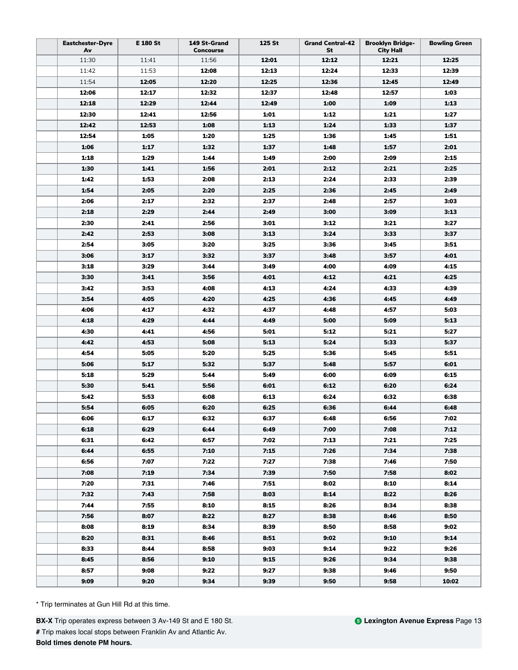| <b>Eastchester-Dyre</b><br>Av | E 180 St | 149 St-Grand<br><b>Concourse</b> | 125 St | <b>Grand Central-42</b><br>St | <b>Brooklyn Bridge-</b><br><b>City Hall</b> | <b>Bowling Green</b> |
|-------------------------------|----------|----------------------------------|--------|-------------------------------|---------------------------------------------|----------------------|
| 11:30                         | 11:41    | 11:56                            | 12:01  | 12:12                         | 12:21                                       | 12:25                |
| 11:42                         | 11:53    | 12:08                            | 12:13  | 12:24                         | 12:33                                       | 12:39                |
| 11:54                         | 12:05    | 12:20                            | 12:25  | 12:36                         | 12:45                                       | 12:49                |
| 12:06                         | 12:17    | 12:32                            | 12:37  | 12:48                         | 12:57                                       | 1:03                 |
| 12:18                         | 12:29    | 12:44                            | 12:49  | 1:00                          | 1:09                                        | 1:13                 |
| 12:30                         | 12:41    | 12:56                            | 1:01   | 1:12                          | 1:21                                        | 1:27                 |
| 12:42                         | 12:53    | 1:08                             | 1:13   | 1:24                          | 1:33                                        | 1:37                 |
| 12:54                         | 1:05     | 1:20                             | 1:25   | 1:36                          | 1:45                                        | 1:51                 |
| 1:06                          | 1:17     | 1:32                             | 1:37   | 1:48                          | 1:57                                        | 2:01                 |
| 1:18                          | 1:29     | 1:44                             | 1:49   | 2:00                          | 2:09                                        | 2:15                 |
| 1:30                          | 1:41     | 1:56                             | 2:01   | 2:12                          | 2:21                                        | 2:25                 |
| 1:42                          | 1:53     | 2:08                             | 2:13   | 2:24                          | 2:33                                        | 2:39                 |
| 1:54                          | 2:05     | 2:20                             | 2:25   | 2:36                          | 2:45                                        | 2:49                 |
| 2:06                          | 2:17     | 2:32                             | 2:37   | 2:48                          | 2:57                                        | 3:03                 |
| 2:18                          | 2:29     | 2:44                             | 2:49   | 3:00                          | 3:09                                        | 3:13                 |
| 2:30                          | 2:41     | 2:56                             | 3:01   | 3:12                          | 3:21                                        | 3:27                 |
| 2:42                          | 2:53     | 3:08                             | 3:13   | 3:24                          | 3:33                                        | 3:37                 |
| 2:54                          | 3:05     | 3:20                             | 3:25   | 3:36                          | 3:45                                        | 3:51                 |
| 3:06                          | 3:17     | 3:32                             | 3:37   | 3:48                          | 3:57                                        | 4:01                 |
| 3:18                          | 3:29     | 3:44                             | 3:49   | 4:00                          | 4:09                                        | 4:15                 |
| 3:30                          | 3:41     | 3:56                             | 4:01   | 4:12                          | 4:21                                        | 4:25                 |
| 3:42                          | 3:53     | 4:08                             | 4:13   | 4:24                          | 4:33                                        | 4:39                 |
| 3:54                          | 4:05     | 4:20                             | 4:25   | 4:36                          | 4:45                                        | 4:49                 |
| 4:06                          | 4:17     | 4:32                             | 4:37   | 4:48                          | 4:57                                        | 5:03                 |
| 4:18                          | 4:29     | 4:44                             | 4:49   | 5:00                          | 5:09                                        | 5:13                 |
| 4:30                          | 4:41     | 4:56                             | 5:01   | 5:12                          | 5:21                                        | 5:27                 |
| 4:42                          | 4:53     | 5:08                             | 5:13   | 5:24                          | 5:33                                        | 5:37                 |
| 4:54                          | 5:05     | 5:20                             | 5:25   | 5:36                          | 5:45                                        | 5:51                 |
| 5:06                          | 5:17     | 5:32                             | 5:37   | 5:48                          | 5:57                                        | 6:01                 |
| 5:18                          | 5:29     | 5:44                             | 5:49   | 6:00                          | 6:09                                        | 6:15                 |
| 5:30                          | 5:41     | 5:56                             | 6:01   | 6:12                          | 6:20                                        | 6:24                 |
| 5:42                          | 5:53     | 6:08                             | 6:13   | 6:24                          | 6:32                                        | 6:38                 |
| 5:54                          | 6:05     | 6:20                             | 6:25   | 6:36                          | 6:44                                        | 6:48                 |
| 6:06                          | 6:17     | 6:32                             | 6:37   | 6:48                          | 6:56                                        | 7:02                 |
| 6:18                          | 6:29     | 6:44                             | 6:49   | 7:00                          | 7:08                                        | 7:12                 |
| 6:31                          | 6:42     | 6:57                             | 7:02   | 7:13                          | 7:21                                        | 7:25                 |
| 6:44                          | 6:55     | 7:10                             | 7:15   | 7:26                          | 7:34                                        | 7:38                 |
| 6:56                          | 7:07     | 7:22                             | 7:27   | 7:38                          | 7:46                                        | 7:50                 |
| 7:08                          | 7:19     | 7:34                             | 7:39   | 7:50                          | 7:58                                        | 8:02                 |
| 7:20                          | 7:31     | 7:46                             | 7:51   | 8:02                          | 8:10                                        | 8:14                 |
| 7:32                          | 7:43     | 7:58                             | 8:03   | 8:14                          | 8:22                                        | 8:26                 |
| 7:44                          | 7:55     | 8:10                             | 8:15   | 8:26                          | 8:34                                        | 8:38                 |
| 7:56                          | 8:07     | 8:22                             | 8:27   | 8:38                          | 8:46                                        | 8:50                 |
| 8:08                          | 8:19     | 8:34                             | 8:39   | 8:50                          | 8:58                                        | 9:02                 |
| 8:20                          | 8:31     | 8:46                             | 8:51   | 9:02                          | 9:10                                        | 9:14                 |
| 8:33                          | 8:44     | 8:58                             | 9:03   | 9:14                          | 9:22                                        | 9:26                 |
| 8:45                          | 8:56     | 9:10                             | 9:15   | 9:26                          | 9:34                                        | 9:38                 |
| 8:57                          | 9:08     | 9:22                             | 9:27   | 9:38                          | 9:46                                        | 9:50                 |
| 9:09                          | 9:20     | 9:34                             | 9:39   | 9:50                          | 9:58                                        | 10:02                |

**BX-X** Trip operates express between 3 Av-149 St and E 180 St. **#** Trip makes local stops between Franklin Av and Atlantic Av. **Bold times denote PM hours.**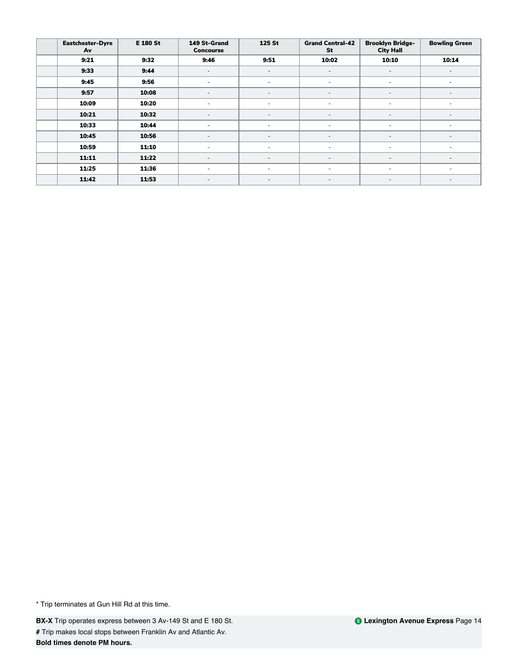| <b>Eastchester-Dyre</b><br>Av | <b>E 180 St</b> | 149 St-Grand<br><b>Concourse</b> | 125 St                   | <b>Grand Central-42</b><br>St | <b>Brooklyn Bridge-</b><br><b>City Hall</b> | <b>Bowling Green</b>     |
|-------------------------------|-----------------|----------------------------------|--------------------------|-------------------------------|---------------------------------------------|--------------------------|
| 9:21                          | 9:32            | 9:46                             | 9:51                     | 10:02                         | 10:10                                       | 10:14                    |
| 9:33                          | 9:44            | $\overline{\phantom{a}}$         | $\overline{\phantom{a}}$ |                               |                                             |                          |
| 9:45                          | 9:56            | ٠                                | ٠                        | ٠                             | $\overline{\phantom{a}}$                    | $\overline{\phantom{0}}$ |
| 9:57                          | 10:08           | ٠                                | $\overline{\phantom{a}}$ | $\overline{\phantom{a}}$      | $\overline{\phantom{a}}$                    | $\overline{\phantom{0}}$ |
| 10:09                         | 10:20           |                                  |                          |                               |                                             |                          |
| 10:21                         | 10:32           | $\overline{\phantom{0}}$         |                          |                               |                                             |                          |
| 10:33                         | 10:44           | ٠                                | $\overline{\phantom{a}}$ | ٠                             |                                             | ٠                        |
| 10:45                         | 10:56           | ٠                                | ٠                        | $\overline{\phantom{a}}$      | $\overline{\phantom{a}}$                    | $\overline{\phantom{0}}$ |
| 10:59                         | 11:10           | ٠                                | ٠                        | ٠                             | $\overline{\phantom{a}}$                    | $\overline{\phantom{a}}$ |
| 11:11                         | 11:22           | $\overline{\phantom{a}}$         | $\overline{\phantom{a}}$ | $\overline{\phantom{a}}$      |                                             | $\overline{\phantom{a}}$ |
| 11:25                         | 11:36           | $\overline{\phantom{0}}$         |                          | ٠                             |                                             | $\overline{\phantom{0}}$ |
| 11:42                         | 11:53           | $\overline{\phantom{a}}$         | $\overline{\phantom{a}}$ | ٠                             |                                             |                          |

**BX-X** Trip operates express between 3 Av-149 St and E 180 St. **#** Trip makes local stops between Franklin Av and Atlantic Av. **Bold times denote PM hours.**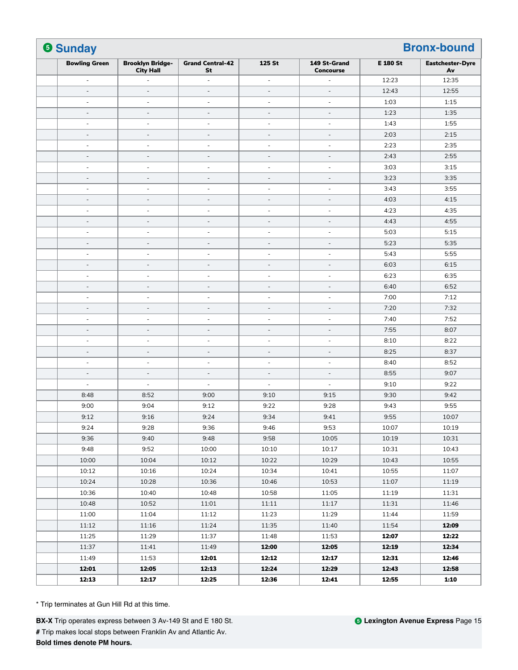| <b>6 Sunday</b>          |                                             |                               |                          |                                  |                 |                               |
|--------------------------|---------------------------------------------|-------------------------------|--------------------------|----------------------------------|-----------------|-------------------------------|
| <b>Bowling Green</b>     | <b>Brooklyn Bridge-</b><br><b>City Hall</b> | <b>Grand Central-42</b><br>St | 125 St                   | 149 St-Grand<br><b>Concourse</b> | <b>E 180 St</b> | <b>Eastchester-Dyre</b><br>Av |
| $\overline{\phantom{a}}$ |                                             | ä,                            | $\overline{\phantom{a}}$ | ÷,                               | 12:23           | 12:35                         |
| $\sim$                   | $\overline{a}$                              | $\overline{a}$                | $\overline{\phantom{a}}$ | $\sim$                           | 12:43           | 12:55                         |
| ÷,                       | $\overline{a}$                              | ÷,                            | $\overline{\phantom{a}}$ | $\overline{\phantom{a}}$         | 1:03            | 1:15                          |
| $\overline{\phantom{a}}$ | $\overline{\phantom{a}}$                    | $\overline{a}$                | $\overline{\phantom{a}}$ | $\overline{\phantom{a}}$         | 1:23            | 1:35                          |
| $\sim$                   | $\sim$                                      | ä,                            | $\sim$                   | $\sim$                           | 1:43            | 1:55                          |
| $\overline{a}$           |                                             | L,                            | $\qquad \qquad -$        | $\overline{a}$                   | 2:03            | 2:15                          |
| $\sim$                   | $\sim$                                      | ä,                            | ÷,                       | $\sim$                           | 2:23            | 2:35                          |
| $\overline{\phantom{a}}$ | $\overline{\phantom{a}}$                    | $\overline{a}$                | $\qquad \qquad -$        | $\overline{\phantom{a}}$         | 2:43            | 2:55                          |
| $\sim$                   | ÷.                                          | ä,                            | ä,                       | $\sim$                           | 3:03            | 3:15                          |
| $\overline{a}$           |                                             | $\overline{a}$                | $\qquad \qquad -$        | $\overline{a}$                   | 3:23            | 3:35                          |
| $\overline{\phantom{m}}$ | $\overline{\phantom{a}}$                    | $\overline{a}$                | $\overline{\phantom{a}}$ | $\overline{\phantom{a}}$         | 3:43            | 3:55                          |
| $\overline{\phantom{a}}$ | $\overline{\phantom{a}}$                    | ÷,                            | $\overline{\phantom{a}}$ | $\overline{\phantom{a}}$         | 4:03            | 4:15                          |
| ÷,                       | ÷                                           | ä,                            | ÷,                       | $\sim$                           | 4:23            | 4:35                          |
| $\overline{\phantom{a}}$ | $\overline{\phantom{a}}$                    | $\overline{a}$                | $\qquad \qquad -$        | $\sim$                           | 4:43            | 4:55                          |
| $\overline{\phantom{a}}$ | $\overline{a}$                              | ÷                             | $\overline{\phantom{m}}$ | $\overline{\phantom{a}}$         | 5:03            | 5:15                          |
| $\overline{\phantom{a}}$ | $\overline{\phantom{a}}$                    | L,                            | $\overline{\phantom{a}}$ | $\sim$                           | 5:23            | 5:35                          |
| ÷,                       | $\overline{\phantom{a}}$                    | ä,                            | ÷,                       | $\sim$                           | 5:43            | 5:55                          |
| $\overline{\phantom{a}}$ | $\overline{\phantom{a}}$                    | $\qquad \qquad -$             | $\overline{\phantom{a}}$ | $\overline{\phantom{a}}$         | 6:03            | 6:15                          |
| $\overline{\phantom{a}}$ | $\overline{\phantom{a}}$                    | ÷,                            | $\overline{\phantom{a}}$ | $\overline{\phantom{a}}$         | 6:23            | 6:35                          |
| $\sim$                   | $\overline{\phantom{a}}$                    | L,                            | $\overline{\phantom{a}}$ | $\sim$                           | 6:40            | 6:52                          |
| $\overline{\phantom{a}}$ | $\overline{\phantom{a}}$                    | ä,                            | ÷,                       | $\overline{\phantom{a}}$         | 7:00            | 7:12                          |
| $\overline{\phantom{a}}$ | $\overline{\phantom{a}}$                    | $\overline{\phantom{0}}$      | $\overline{\phantom{a}}$ | $\overline{\phantom{a}}$         | 7:20            | 7:32                          |
| $\blacksquare$           | ٠                                           | ä,                            | $\overline{\phantom{a}}$ | $\sim$                           | 7:40            | 7:52                          |
| L,                       |                                             |                               | L,                       | $\overline{\phantom{a}}$         | 7:55            | 8:07                          |
| ÷,                       | $\overline{\phantom{a}}$                    | ä,                            | $\sim$                   | $\sim$                           | 8:10            | 8:22                          |
| $\overline{\phantom{a}}$ | $\overline{\phantom{a}}$                    | $\overline{\phantom{0}}$      | $\overline{\phantom{a}}$ | $\overline{\phantom{a}}$         | 8:25            | 8:37                          |
| $\sim$                   | $\overline{\phantom{a}}$                    | ÷,                            | ٠                        | $\sim$                           | 8:40            | 8:52                          |
| $\overline{\phantom{a}}$ | $\overline{\phantom{a}}$                    | $\overline{a}$                | $\overline{\phantom{a}}$ | $\sim$                           | 8:55            | 9:07                          |
| $\sim$                   | ÷                                           | $\sim$                        | $\overline{\phantom{a}}$ | $\sim$                           | 9:10            | 9:22                          |
| 8:48                     | 8:52                                        | 9:00                          | 9:10                     | 9:15                             | 9:30            | 9:42                          |
| 9:00                     | 9:04                                        | 9:12                          | 9:22                     | 9:28                             | 9:43            | 9:55                          |
| 9:12                     | 9:16                                        | 9:24                          | 9:34                     | 9:41                             | 9:55            | 10:07                         |
| 9:24                     | 9:28                                        | 9:36                          | 9:46                     | 9:53                             | 10:07           | 10:19                         |
| 9:36                     | 9:40                                        | 9:48                          | 9:58                     | 10:05                            | 10:19           | 10:31                         |
| 9:48                     | 9:52                                        | 10:00                         | 10:10                    | 10:17                            | 10:31           | 10:43                         |
| 10:00                    | 10:04                                       | 10:12                         | 10:22                    | 10:29                            | 10:43           | 10:55                         |
| 10:12                    | 10:16                                       | 10:24                         | 10:34                    | 10:41                            | 10:55           | 11:07                         |
| 10:24                    | 10:28                                       | 10:36                         | 10:46                    | 10:53                            | 11:07           | 11:19                         |
| 10:36                    | 10:40                                       | 10:48                         | 10:58                    | 11:05                            | 11:19           | 11:31                         |
| 10:48                    | 10:52                                       | 11:01                         | 11:11                    | 11:17                            | 11:31           | 11:46                         |
| 11:00                    | 11:04                                       | 11:12                         | 11:23                    | 11:29                            | 11:44           | 11:59                         |
| 11:12                    | 11:16                                       | 11:24                         | 11:35                    | 11:40                            | 11:54           | 12:09                         |
| 11:25                    | 11:29                                       | 11:37                         | 11:48                    | 11:53                            | 12:07           | 12:22                         |
| 11:37                    | 11:41                                       | 11:49                         | 12:00                    | 12:05                            | 12:19           | 12:34                         |
| 11:49                    | 11:53                                       | 12:01                         | 12:12                    | 12:17                            | 12:31           | 12:46                         |
| 12:01                    | 12:05                                       | 12:13                         | 12:24                    | 12:29                            | 12:43           | 12:58                         |
| 12:13                    | 12:17                                       | 12:25                         | 12:36                    | 12:41                            | 12:55           | 1:10                          |

**BX-X** Trip operates express between 3 Av-149 St and E 180 St. **#** Trip makes local stops between Franklin Av and Atlantic Av. **Bold times denote PM hours.**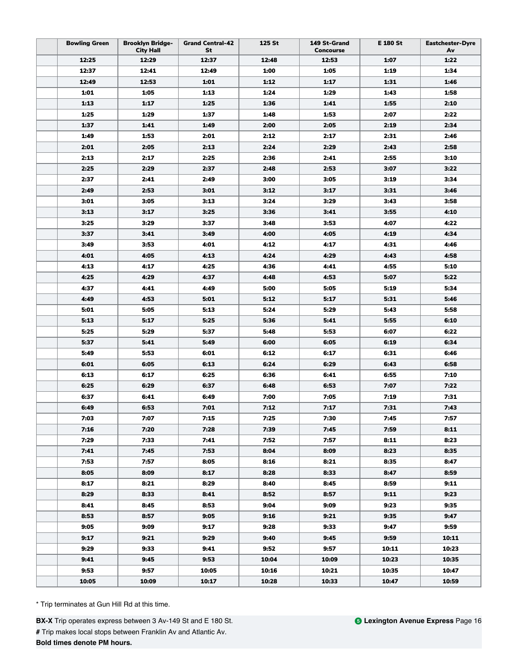| <b>Bowling Green</b> | <b>Brooklyn Bridge-</b><br><b>City Hall</b> | <b>Grand Central-42</b><br>St | 125 St | 149 St-Grand<br><b>Concourse</b> | E 180 St | <b>Eastchester-Dyre</b><br>Av |
|----------------------|---------------------------------------------|-------------------------------|--------|----------------------------------|----------|-------------------------------|
| 12:25                | 12:29                                       | 12:37                         | 12:48  | 12:53                            | 1:07     | 1:22                          |
| 12:37                | 12:41                                       | 12:49                         | 1:00   | 1:05                             | 1:19     | 1:34                          |
| 12:49                | 12:53                                       | 1:01                          | 1:12   | 1:17                             | 1:31     | 1:46                          |
| 1:01                 | 1:05                                        | 1:13                          | 1:24   | 1:29                             | 1:43     | 1:58                          |
| 1:13                 | 1:17                                        | 1:25                          | 1:36   | 1:41                             | 1:55     | 2:10                          |
| 1:25                 | 1:29                                        | 1:37                          | 1:48   | 1:53                             | 2:07     | 2:22                          |
| 1:37                 | 1:41                                        | 1:49                          | 2:00   | 2:05                             | 2:19     | 2:34                          |
| 1:49                 | 1:53                                        | 2:01                          | 2:12   | 2:17                             | 2:31     | 2:46                          |
| 2:01                 | 2:05                                        | 2:13                          | 2:24   | 2:29                             | 2:43     | 2:58                          |
| 2:13                 | 2:17                                        | 2:25                          | 2:36   | 2:41                             | 2:55     | 3:10                          |
| 2:25                 | 2:29                                        | 2:37                          | 2:48   | 2:53                             | 3:07     | 3:22                          |
| 2:37                 | 2:41                                        | 2:49                          | 3:00   | 3:05                             | 3:19     | 3:34                          |
| 2:49                 | 2:53                                        | 3:01                          | 3:12   | 3:17                             | 3:31     | 3:46                          |
| 3:01                 | 3:05                                        | 3:13                          | 3:24   | 3:29                             | 3:43     | 3:58                          |
| 3:13                 | 3:17                                        | 3:25                          | 3:36   | 3:41                             | 3:55     | 4:10                          |
| 3:25                 | 3:29                                        | 3:37                          | 3:48   | 3:53                             | 4:07     | 4:22                          |
| 3:37                 | 3:41                                        | 3:49                          | 4:00   | 4:05                             | 4:19     | 4:34                          |
| 3:49                 | 3:53                                        | 4:01                          | 4:12   | 4:17                             | 4:31     | 4:46                          |
| 4:01                 | 4:05                                        | 4:13                          | 4:24   | 4:29                             | 4:43     | 4:58                          |
| 4:13                 | 4:17                                        | 4:25                          | 4:36   | 4:41                             | 4:55     | 5:10                          |
| 4:25                 | 4:29                                        | 4:37                          | 4:48   | 4:53                             | 5:07     | 5:22                          |
| 4:37                 | 4:41                                        | 4:49                          | 5:00   | 5:05                             | 5:19     | 5:34                          |
| 4:49                 | 4:53                                        | 5:01                          | 5:12   | 5:17                             | 5:31     | 5:46                          |
| 5:01                 | 5:05                                        | 5:13                          | 5:24   | 5:29                             | 5:43     | 5:58                          |
| 5:13                 | 5:17                                        | 5:25                          | 5:36   | 5:41                             | 5:55     | 6:10                          |
| 5:25                 | 5:29                                        | 5:37                          | 5:48   | 5:53                             | 6:07     | 6:22                          |
| 5:37                 | 5:41                                        | 5:49                          | 6:00   | 6:05                             | 6:19     | 6:34                          |
| 5:49                 | 5:53                                        | 6:01                          | 6:12   | 6:17                             | 6:31     | 6:46                          |
| 6:01                 | 6:05                                        | 6:13                          | 6:24   | 6:29                             | 6:43     | 6:58                          |
| 6:13                 | 6:17                                        | 6:25                          | 6:36   | 6:41                             | 6:55     | 7:10                          |
| 6:25                 | 6:29                                        | 6:37                          | 6:48   | 6:53                             | 7:07     | 7:22                          |
| 6:37                 | 6:41                                        | 6:49                          | 7:00   | 7:05                             | 7:19     | 7:31                          |
| 6:49                 | 6:53                                        | 7:01                          | 7:12   | 7:17                             | 7:31     | 7:43                          |
| 7:03                 | 7:07                                        | 7:15                          | 7:25   | 7:30                             | 7:45     | 7:57                          |
| 7:16                 | 7:20                                        | 7:28                          | 7:39   | 7:45                             | 7:59     | 8:11                          |
| 7:29                 | 7:33                                        | 7:41                          | 7:52   | 7:57                             | 8:11     | 8:23                          |
| 7:41                 | 7:45                                        | 7:53                          | 8:04   | 8:09                             | 8:23     | 8:35                          |
| 7:53                 | 7:57                                        | 8:05                          | 8:16   | 8:21                             | 8:35     | 8:47                          |
| 8:05                 | 8:09                                        | 8:17                          | 8:28   | 8:33                             | 8:47     | 8:59                          |
| 8:17                 | 8:21                                        | 8:29                          | 8:40   | 8:45                             | 8:59     | 9:11                          |
| 8:29                 | 8:33                                        | 8:41                          | 8:52   | 8:57                             | 9:11     | 9:23                          |
| 8:41                 | 8:45                                        | 8:53                          | 9:04   | 9:09                             | 9:23     | 9:35                          |
| 8:53                 | 8:57                                        | 9:05                          | 9:16   | 9:21                             | 9:35     | 9:47                          |
| 9:05                 | 9:09                                        | 9:17                          | 9:28   | 9:33                             | 9:47     | 9:59                          |
| 9:17                 | 9:21                                        | 9:29                          | 9:40   | 9:45                             | 9:59     | 10:11                         |
| 9:29                 | 9:33                                        | 9:41                          | 9:52   | 9:57                             | 10:11    | 10:23                         |
| 9:41                 | 9:45                                        | 9:53                          | 10:04  | 10:09                            | 10:23    | 10:35                         |
| 9:53                 | 9:57                                        | 10:05                         | 10:16  | 10:21                            | 10:35    | 10:47                         |
| 10:05                | 10:09                                       | 10:17                         | 10:28  | 10:33                            | 10:47    | 10:59                         |

**BX-X** Trip operates express between 3 Av-149 St and E 180 St. **#** Trip makes local stops between Franklin Av and Atlantic Av. **Bold times denote PM hours.**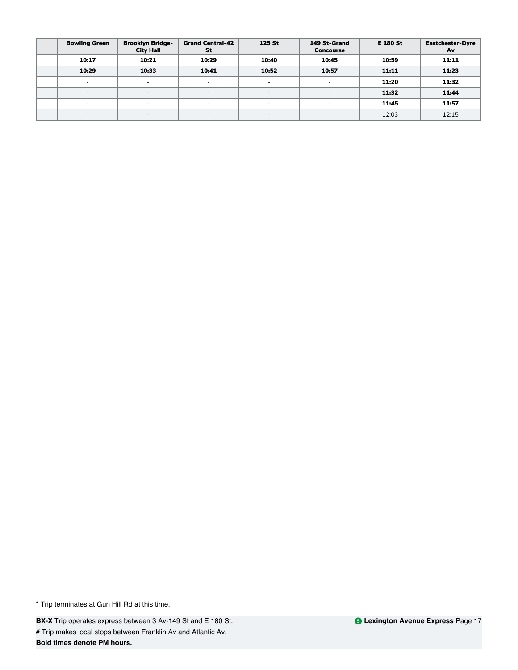| <b>Bowling Green</b>     | <b>Brooklyn Bridge-</b><br><b>City Hall</b> | <b>Grand Central-42</b><br>St | 125 St                   | 149 St-Grand<br><b>Concourse</b> | <b>E 180 St</b> | <b>Eastchester-Dyre</b><br>Av |
|--------------------------|---------------------------------------------|-------------------------------|--------------------------|----------------------------------|-----------------|-------------------------------|
| 10:17                    | 10:21                                       | 10:29                         | 10:40                    | 10:45                            | 10:59           | 11:11                         |
| 10:29                    | 10:33                                       | 10:41                         | 10:52                    | 10:57                            | 11:11           | 11:23                         |
| $\overline{\phantom{0}}$ | ۰                                           | -                             | $\overline{\phantom{a}}$ | $\overline{\phantom{a}}$         | 11:20           | 11:32                         |
| $\overline{a}$           | $\sim$                                      | $\overline{\phantom{0}}$      | $\overline{\phantom{a}}$ | $\sim$                           | 11:32           | 11:44                         |
| $\overline{\phantom{a}}$ | ۰                                           | $\overline{\phantom{0}}$      | $\overline{\phantom{a}}$ | $\sim$                           | 11:45           | 11:57                         |
| $\overline{\phantom{0}}$ | $\sim$                                      | $\overline{\phantom{0}}$      | $\overline{\phantom{a}}$ | $\overline{\phantom{a}}$         | 12:03           | 12:15                         |

**BX-X** Trip operates express between 3 Av-149 St and E 180 St. **#** Trip makes local stops between Franklin Av and Atlantic Av. **Bold times denote PM hours.**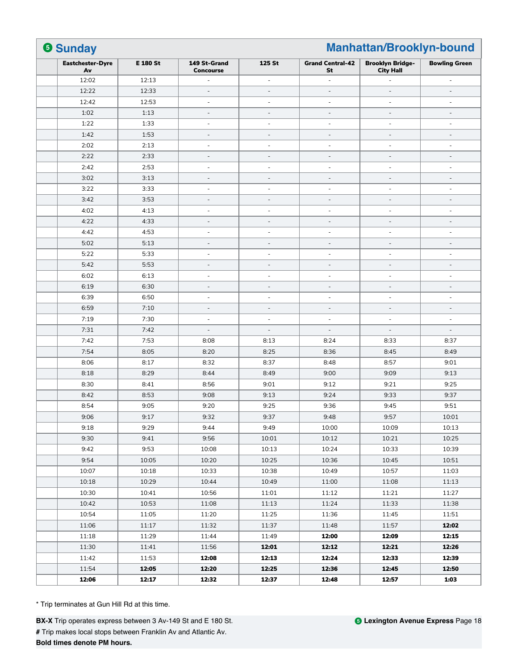| <b>6 Sunday</b><br>Manhattan/Brooklyn-bound |          |                                  |                          |                               |                                             |                              |
|---------------------------------------------|----------|----------------------------------|--------------------------|-------------------------------|---------------------------------------------|------------------------------|
| <b>Eastchester-Dyre</b><br>Av               | E 180 St | 149 St-Grand<br><b>Concourse</b> | 125 St                   | <b>Grand Central-42</b><br>St | <b>Brooklyn Bridge-</b><br><b>City Hall</b> | <b>Bowling Green</b>         |
| 12:02                                       | 12:13    | ٠                                | $\sim$                   | ä,                            |                                             | $\overline{\phantom{a}}$     |
| 12:22                                       | 12:33    | $\frac{1}{2}$                    | $\overline{\phantom{a}}$ | L,                            | ÷                                           | ÷                            |
| 12:42                                       | 12:53    | $\overline{\phantom{a}}$         | $\overline{\phantom{a}}$ | $\overline{\phantom{a}}$      | $\sim$                                      | $\overline{\phantom{a}}$     |
| 1:02                                        | 1:13     | $\overline{\phantom{a}}$         | $\overline{\phantom{a}}$ | $\overline{\phantom{a}}$      | $\overline{\phantom{a}}$                    | $\overline{\phantom{a}}$     |
| 1:22                                        | 1:33     | ä,                               | $\overline{\phantom{a}}$ | L,                            | ÷                                           | ÷,                           |
| 1:42                                        | 1:53     | $\overline{\phantom{a}}$         | $\overline{\phantom{a}}$ | $\overline{a}$                | $\overline{a}$                              | $\overline{\phantom{a}}$     |
| 2:02                                        | 2:13     | $\overline{\phantom{a}}$         | $\overline{\phantom{a}}$ | $\overline{\phantom{a}}$      | ÷                                           | $\overline{\phantom{a}}$     |
| 2:22                                        | 2:33     | ÷,                               | $\overline{\phantom{a}}$ | $\overline{\phantom{a}}$      | $\overline{\phantom{a}}$                    | $\overline{\phantom{a}}$     |
| 2:42                                        | 2:53     | ÷,                               | $\overline{\phantom{m}}$ | ÷,                            | ÷                                           | $\overline{\phantom{a}}$     |
| 3:02                                        | 3:13     | $\overline{\phantom{a}}$         | $\overline{\phantom{a}}$ | $\overline{\phantom{a}}$      | $\overline{\phantom{a}}$                    | $\overline{\phantom{a}}$     |
| 3:22                                        | 3:33     | $\overline{\phantom{a}}$         | $\overline{\phantom{a}}$ | ÷,                            | $\overline{\phantom{a}}$                    | $\overline{\phantom{a}}$     |
| 3:42                                        | 3:53     | $\overline{\phantom{a}}$         | $\overline{\phantom{a}}$ | $\overline{\phantom{a}}$      | $\overline{\phantom{a}}$                    | $\overline{\phantom{a}}$     |
| 4:02                                        | 4:13     | $\overline{\phantom{m}}$         | $\overline{\phantom{a}}$ | $\overline{a}$                | $\overline{\phantom{0}}$                    | $\overline{\phantom{a}}$     |
| 4:22                                        | 4:33     | $\overline{\phantom{0}}$         | $\overline{\phantom{a}}$ | $\overline{\phantom{a}}$      | $\overline{\phantom{m}}$                    | $\qquad \qquad \blacksquare$ |
| 4:42                                        | 4:53     | ä,                               | $\sim$                   | $\overline{a}$                | ÷                                           | $\sim$                       |
| 5:02                                        | 5:13     | $\overline{\phantom{a}}$         | $\overline{\phantom{a}}$ | L,                            | ÷                                           | ÷                            |
| 5:22                                        | 5:33     | ÷,                               | $\overline{\phantom{a}}$ | ÷,                            | $\overline{\phantom{a}}$                    | $\overline{\phantom{a}}$     |
| 5:42                                        | 5:53     | $\overline{\phantom{a}}$         | $\overline{\phantom{a}}$ | $\overline{\phantom{a}}$      | $\overline{\phantom{a}}$                    | $\overline{\phantom{a}}$     |
| 6:02                                        | 6:13     | $\sim$                           | $\sim$                   | $\sim$                        | ÷                                           | $\sim$                       |
| 6:19                                        | 6:30     | $\frac{1}{2}$                    | $\overline{\phantom{a}}$ | $\overline{a}$                | ÷,                                          | $\overline{a}$               |
| 6:39                                        | 6:50     | $\overline{\phantom{a}}$         | $\overline{\phantom{a}}$ | ÷,                            | $\overline{\phantom{a}}$                    | $\overline{\phantom{a}}$     |
| 6:59                                        | 7:10     | $\overline{\phantom{a}}$         | $\overline{\phantom{a}}$ | $\overline{\phantom{a}}$      | $\sim$                                      | $\overline{\phantom{a}}$     |
| 7:19                                        | 7:30     | ä,                               | $\sim$                   | ÷,                            | ä,                                          | ä,                           |
| 7:31                                        | 7:42     | $\frac{1}{2}$                    | $\overline{\phantom{a}}$ | $\overline{a}$                | $\overline{a}$                              | $\overline{a}$               |
| 7:42                                        | 7:53     | 8:08                             | 8:13                     | 8:24                          | 8:33                                        | 8:37                         |
| 7:54                                        | 8:05     | 8:20                             | 8:25                     | 8:36                          | 8:45                                        | 8:49                         |
| 8:06                                        | 8:17     | 8:32                             | 8:37                     | 8:48                          | 8:57                                        | 9:01                         |
| 8:18                                        | 8:29     | 8:44                             | 8:49                     | 9:00                          | 9:09                                        | 9:13                         |
| 8:30                                        | 8:41     | 8:56                             | 9:01                     | 9:12                          | 9:21                                        | 9:25                         |
| 8:42                                        | 8:53     | 9:08                             | 9:13                     | 9:24                          | 9:33                                        | 9:37                         |
| 8:54                                        | 9:05     | 9:20                             | 9:25                     | 9:36                          | 9:45                                        | 9:51                         |
| 9:06                                        | 9:17     | 9:32                             | 9:37                     | 9:48                          | 9:57                                        | 10:01                        |
| 9:18                                        | 9:29     | 9:44                             | 9:49                     | 10:00                         | 10:09                                       | 10:13                        |
| 9:30                                        | 9:41     | 9:56                             | 10:01                    | 10:12                         | 10:21                                       | 10:25                        |
| 9:42                                        | 9:53     | 10:08                            | 10:13                    | 10:24                         | 10:33                                       | 10:39                        |
| 9:54                                        | 10:05    | 10:20                            | 10:25                    | 10:36                         | 10:45                                       | 10:51                        |
| 10:07                                       | 10:18    | 10:33                            | 10:38                    | 10:49                         | 10:57                                       | 11:03                        |
| 10:18                                       | 10:29    | 10:44                            | 10:49                    | 11:00                         | 11:08                                       | 11:13                        |
| 10:30                                       | 10:41    | 10:56                            | 11:01                    | 11:12                         | 11:21                                       | 11:27                        |
| 10:42                                       | 10:53    | 11:08                            | 11:13                    | 11:24                         | 11:33                                       | 11:38                        |
| 10:54                                       | 11:05    | 11:20                            | 11:25                    | 11:36                         | 11:45                                       | 11:51                        |
| 11:06                                       | 11:17    | 11:32                            | 11:37                    | 11:48                         | 11:57                                       | 12:02                        |
| 11:18                                       | 11:29    | 11:44                            | 11:49                    | 12:00                         | 12:09                                       | 12:15                        |
| 11:30                                       | 11:41    | 11:56                            | 12:01                    | 12:12                         | 12:21                                       | 12:26                        |
| 11:42                                       | 11:53    | 12:08                            | 12:13                    | 12:24                         | 12:33                                       | 12:39                        |
| 11:54                                       | 12:05    | 12:20                            | 12:25                    | 12:36                         | 12:45                                       | 12:50                        |
| 12:06                                       | 12:17    | 12:32                            | 12:37                    | 12:48                         | 12:57                                       | 1:03                         |

**BX-X** Trip operates express between 3 Av-149 St and E 180 St. **#** Trip makes local stops between Franklin Av and Atlantic Av. **Bold times denote PM hours.**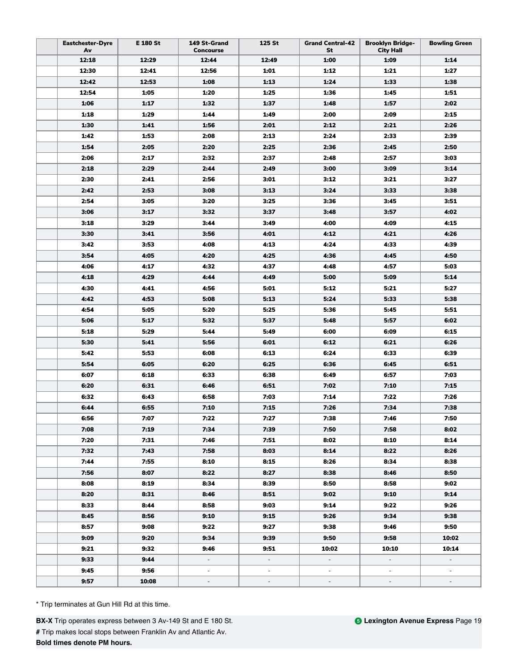| <b>Eastchester-Dyre</b><br>Av | E 180 St     | 149 St-Grand<br><b>Concourse</b> | 125 St                   | <b>Grand Central-42</b><br>St | <b>Brooklyn Bridge-</b><br><b>City Hall</b> | <b>Bowling Green</b>     |
|-------------------------------|--------------|----------------------------------|--------------------------|-------------------------------|---------------------------------------------|--------------------------|
| 12:18                         | 12:29        | 12:44                            | 12:49                    | 1:00                          | 1:09                                        | 1:14                     |
| 12:30                         | 12:41        | 12:56                            | 1:01                     | 1:12                          | 1:21                                        | 1:27                     |
| 12:42                         | 12:53        | 1:08                             | 1:13                     | 1:24                          | 1:33                                        | 1:38                     |
| 12:54                         | 1:05         | 1:20                             | 1:25                     | 1:36                          | 1:45                                        | 1:51                     |
| 1:06                          | 1:17         | 1:32                             | 1:37                     | 1:48                          | 1:57                                        | 2:02                     |
| 1:18                          | 1:29         | 1:44                             | 1:49                     | 2:00                          | 2:09                                        | 2:15                     |
| 1:30                          | 1:41         | 1:56                             | 2:01                     | 2:12                          | 2:21                                        | 2:26                     |
| 1:42                          | 1:53         | 2:08                             | 2:13                     | 2:24                          | 2:33                                        | 2:39                     |
| 1:54                          | 2:05         | 2:20                             | 2:25                     | 2:36                          | 2:45                                        | 2:50                     |
| 2:06                          | 2:17         | 2:32                             | 2:37                     | 2:48                          | 2:57                                        | 3:03                     |
| 2:18                          | 2:29         | 2:44                             | 2:49                     | 3:00                          | 3:09                                        | 3:14                     |
| 2:30                          | 2:41         | 2:56                             | 3:01                     | 3:12                          | 3:21                                        | 3:27                     |
| 2:42                          | 2:53         | 3:08                             | 3:13                     | 3:24                          | 3:33                                        | 3:38                     |
| 2:54                          | 3:05         | 3:20                             | 3:25                     | 3:36                          | 3:45                                        | 3:51                     |
| 3:06                          | 3:17         | 3:32                             | 3:37                     | 3:48                          | 3:57                                        | 4:02                     |
| 3:18                          | 3:29         | 3:44                             | 3:49                     | 4:00                          | 4:09                                        | 4:15                     |
| 3:30                          | 3:41         | 3:56                             | 4:01                     | 4:12                          | 4:21                                        | 4:26                     |
| 3:42                          | 3:53         | 4:08                             | 4:13                     | 4:24                          | 4:33                                        | 4:39                     |
| 3:54                          | 4:05         | 4:20                             | 4:25                     | 4:36                          | 4:45                                        | 4:50                     |
| 4:06                          | 4:17         | 4:32                             | 4:37                     | 4:48                          | 4:57                                        | 5:03                     |
| 4:18                          | 4:29         | 4:44                             | 4:49                     | 5:00                          | 5:09                                        | 5:14                     |
| 4:30                          | 4.41         | 4:56                             | 5:01                     | 5:12                          | 5:21                                        | 5:27                     |
| 4:42                          | 4:53         | 5:08                             | 5:13                     | 5:24                          | 5:33                                        | 5:38                     |
| 4:54                          | 5:05         | 5:20                             | 5:25                     | 5:36                          | 5:45                                        | 5:51                     |
| 5:06                          | 5:17         | 5:32                             | 5:37                     | 5:48                          | 5:57                                        | 6:02                     |
| 5:18                          | 5:29         | 5:44                             | 5:49                     | 6:00                          | 6:09                                        | 6:15                     |
| 5:30                          | 5:41         | 5:56                             | 6:01                     | 6:12                          | 6:21                                        | 6:26                     |
| 5:42                          | 5:53         | 6:08                             | 6:13                     | 6:24                          | 6:33                                        | 6:39                     |
| 5:54                          | 6:05         | 6:20                             | 6:25                     | 6:36                          | 6:45                                        | 6:51                     |
| 6:07                          | 6:18         | 6:33                             | 6:38                     | 6:49                          | 6:57                                        | 7:03                     |
| 6:20                          | 6:31         | 6:46                             | 6:51                     | 7:02                          | 7:10                                        | 7:15                     |
| 6:32                          | 6:43         | 6:58                             | 7:03                     | 7:14                          | 7:22                                        | 7:26                     |
| 6:44                          | 6:55         | 7:10                             | 7:15                     | 7:26                          | 7:34                                        | 7:38                     |
|                               |              |                                  |                          |                               |                                             |                          |
| 6:56<br>7:08                  | 7:07<br>7:19 | 7:22<br>7:34                     | 7:27<br>7:39             | 7:38<br>7:50                  | 7:46<br>7:58                                | 7:50<br>8:02             |
| 7:20                          | 7:31         | 7:46                             | 7:51                     | 8:02                          | 8:10                                        | 8:14                     |
| 7:32                          | 7:43         | 7:58                             | 8:03                     | 8:14                          | 8:22                                        | 8:26                     |
| 7:44                          | 7:55         | 8:10                             | 8:15                     | 8:26                          | 8:34                                        | 8:38                     |
| 7:56                          | 8:07         | 8:22                             | 8:27                     | 8:38                          | 8:46                                        | 8:50                     |
| 8:08                          | 8:19         | 8:34                             | 8:39                     | 8:50                          | 8:58                                        | 9:02                     |
| 8:20                          | 8:31         | 8:46                             | 8:51                     | 9:02                          | 9:10                                        | 9:14                     |
|                               |              |                                  |                          |                               |                                             |                          |
| 8:33                          | 8:44         | 8:58                             | 9:03                     | 9:14                          | 9:22                                        | 9:26                     |
| 8:45                          | 8:56         | 9:10                             | 9:15                     | 9:26<br>9:38                  | 9:34                                        | 9:38<br>9:50             |
| 8:57                          | 9:08         | 9:22                             | 9:27                     |                               | 9:46<br>9:58                                |                          |
| 9:09                          | 9:20         | 9:34                             | 9:39                     | 9:50                          |                                             | 10:02                    |
| 9:21                          | 9:32         | 9:46                             | 9:51                     | 10:02                         | 10:10                                       | 10:14                    |
| 9:33                          | 9:44         | $\blacksquare$                   | $\sim$                   | $\sim$                        | $\sim$                                      | $\overline{\phantom{a}}$ |
| 9:45                          | 9:56         | $\blacksquare$                   | $\overline{\phantom{a}}$ | $\overline{\phantom{a}}$      | $\overline{\phantom{a}}$                    | $\overline{\phantom{a}}$ |
| 9:57                          | 10:08        | $\overline{\phantom{a}}$         | $\overline{\phantom{a}}$ | $\overline{\phantom{a}}$      | $\overline{\phantom{a}}$                    | $\overline{\phantom{a}}$ |

**BX-X** Trip operates express between 3 Av-149 St and E 180 St. **#** Trip makes local stops between Franklin Av and Atlantic Av. **Bold times denote PM hours.**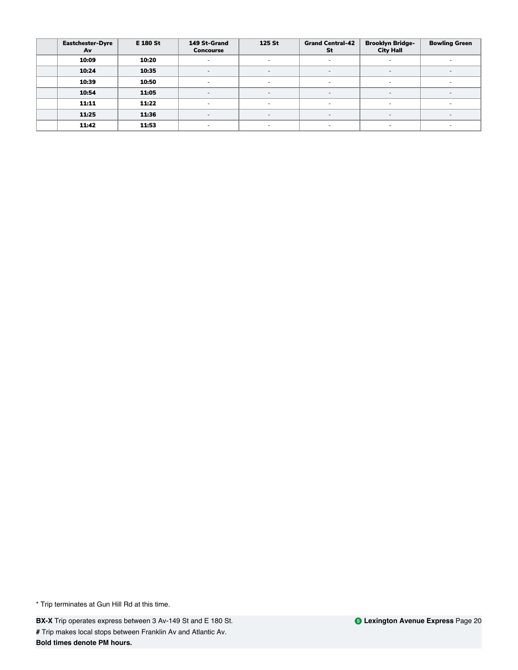| <b>Eastchester-Dyre</b><br>Av | <b>E 180 St</b> | 149 St-Grand<br><b>Concourse</b> | 125 St                   | <b>Grand Central-42</b><br>St | <b>Brooklyn Bridge-</b><br><b>City Hall</b> | <b>Bowling Green</b>     |
|-------------------------------|-----------------|----------------------------------|--------------------------|-------------------------------|---------------------------------------------|--------------------------|
| 10:09                         | 10:20           |                                  | $\overline{\phantom{a}}$ |                               |                                             |                          |
| 10:24                         | 10:35           | $\overline{\phantom{a}}$         | $\overline{\phantom{a}}$ | $\overline{\phantom{a}}$      | $\overline{\phantom{a}}$                    | $\overline{\phantom{a}}$ |
| 10:39                         | 10:50           | $\overline{\phantom{a}}$         | $\overline{\phantom{a}}$ | $\overline{\phantom{a}}$      | <b>COL</b>                                  | $\overline{\phantom{a}}$ |
| 10:54                         | 11:05           | $\overline{a}$                   | $\overline{\phantom{a}}$ | $\overline{\phantom{a}}$      | $\sim$                                      | $\overline{a}$           |
| 11:11                         | 11:22           | $\overline{\phantom{a}}$         | $\overline{\phantom{a}}$ | $\sim$                        | $\sim$                                      | $\sim$                   |
| 11:25                         | 11:36           | $\overline{\phantom{0}}$         | $\overline{\phantom{a}}$ | $\overline{a}$                | $\sim$                                      | $\overline{\phantom{0}}$ |
| 11:42                         | 11:53           | $\overline{\phantom{a}}$         | $\overline{\phantom{a}}$ | $\overline{\phantom{a}}$      | ۰.                                          | $\overline{\phantom{a}}$ |

**BX-X** Trip operates express between 3 Av-149 St and E 180 St. **#** Trip makes local stops between Franklin Av and Atlantic Av. **Bold times denote PM hours.**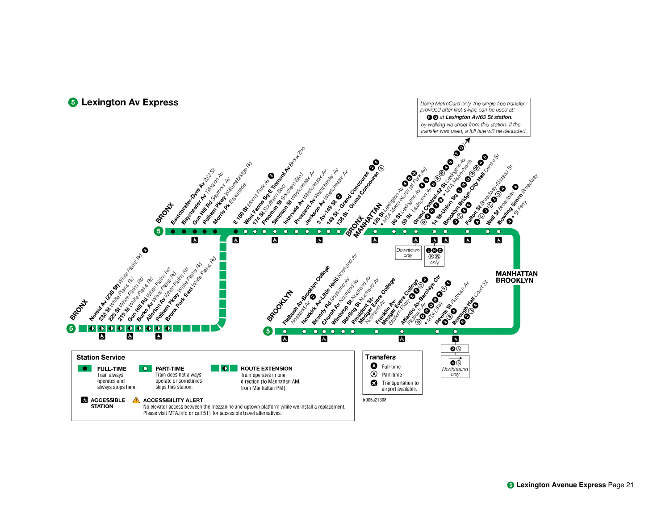